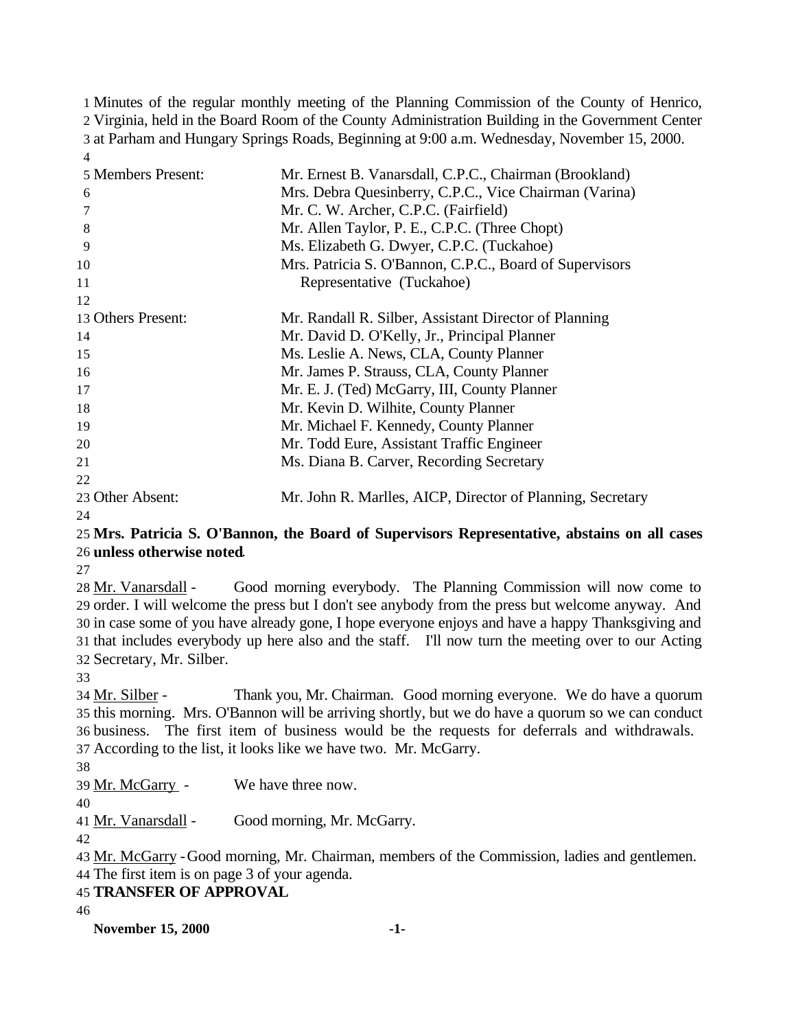Minutes of the regular monthly meeting of the Planning Commission of the County of Henrico, Virginia, held in the Board Room of the County Administration Building in the Government Center at Parham and Hungary Springs Roads, Beginning at 9:00 a.m. Wednesday, November 15, 2000. 

| Mr. Ernest B. Vanarsdall, C.P.C., Chairman (Brookland)     |
|------------------------------------------------------------|
| Mrs. Debra Quesinberry, C.P.C., Vice Chairman (Varina)     |
| Mr. C. W. Archer, C.P.C. (Fairfield)                       |
| Mr. Allen Taylor, P. E., C.P.C. (Three Chopt)              |
| Ms. Elizabeth G. Dwyer, C.P.C. (Tuckahoe)                  |
| Mrs. Patricia S. O'Bannon, C.P.C., Board of Supervisors    |
| Representative (Tuckahoe)                                  |
|                                                            |
| Mr. Randall R. Silber, Assistant Director of Planning      |
| Mr. David D. O'Kelly, Jr., Principal Planner               |
| Ms. Leslie A. News, CLA, County Planner                    |
| Mr. James P. Strauss, CLA, County Planner                  |
| Mr. E. J. (Ted) McGarry, III, County Planner               |
| Mr. Kevin D. Wilhite, County Planner                       |
| Mr. Michael F. Kennedy, County Planner                     |
| Mr. Todd Eure, Assistant Traffic Engineer                  |
| Ms. Diana B. Carver, Recording Secretary                   |
|                                                            |
| Mr. John R. Marlles, AICP, Director of Planning, Secretary |
|                                                            |

## **Mrs. Patricia S. O'Bannon, the Board of Supervisors Representative, abstains on all cases unless otherwise noted**.

 Mr. Vanarsdall - Good morning everybody. The Planning Commission will now come to order. I will welcome the press but I don't see anybody from the press but welcome anyway. And in case some of you have already gone, I hope everyone enjoys and have a happy Thanksgiving and that includes everybody up here also and the staff. I'll now turn the meeting over to our Acting Secretary, Mr. Silber.

 Mr. Silber - Thank you, Mr. Chairman. Good morning everyone. We do have a quorum this morning. Mrs. O'Bannon will be arriving shortly, but we do have a quorum so we can conduct business. The first item of business would be the requests for deferrals and withdrawals. According to the list, it looks like we have two. Mr. McGarry.

Mr. McGarry - We have three now.

Mr. Vanarsdall - Good morning, Mr. McGarry.

 Mr. McGarry -Good morning, Mr. Chairman, members of the Commission, ladies and gentlemen. The first item is on page 3 of your agenda.

**TRANSFER OF APPROVAL**

**November 15, 2000 -1-**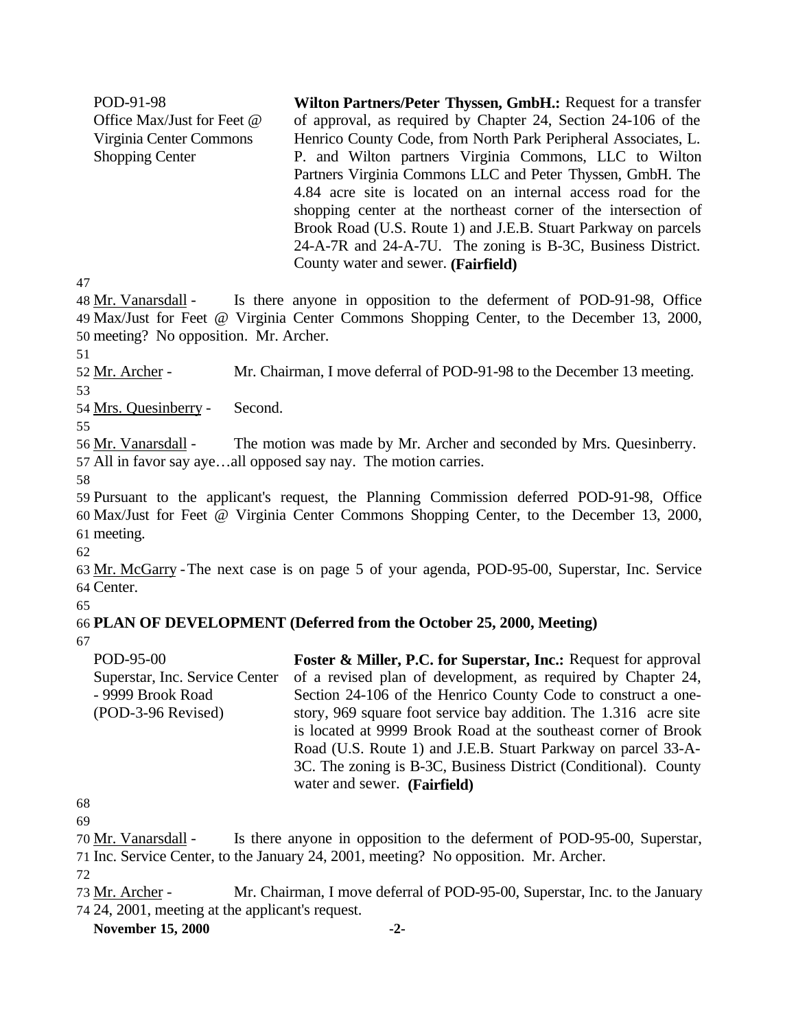POD-91-98 Office Max/Just for Feet @ Virginia Center Commons Shopping Center **Wilton Partners/Peter Thyssen, GmbH.:** Request for a transfer of approval, as required by Chapter 24, Section 24-106 of the Henrico County Code, from North Park Peripheral Associates, L. P. and Wilton partners Virginia Commons, LLC to Wilton Partners Virginia Commons LLC and Peter Thyssen, GmbH. The 4.84 acre site is located on an internal access road for the shopping center at the northeast corner of the intersection of Brook Road (U.S. Route 1) and J.E.B. Stuart Parkway on parcels 24-A-7R and 24-A-7U. The zoning is B-3C, Business District. County water and sewer. **(Fairfield)** 

47

48 Mr. Vanarsdall - Is there anyone in opposition to the deferment of POD-91-98, Office 49 Max/Just for Feet @ Virginia Center Commons Shopping Center, to the December 13, 2000, 50 meeting? No opposition. Mr. Archer.

51

52 Mr. Archer - Mr. Chairman, I move deferral of POD-91-98 to the December 13 meeting.

53

54 Mrs. Quesinberry - Second.

55

56 Mr. Vanarsdall - The motion was made by Mr. Archer and seconded by Mrs. Quesinberry. 57 All in favor say aye…all opposed say nay. The motion carries.

58

59 Pursuant to the applicant's request, the Planning Commission deferred POD-91-98, Office 60 Max/Just for Feet @ Virginia Center Commons Shopping Center, to the December 13, 2000, 61 meeting.

62

63 Mr. McGarry -The next case is on page 5 of your agenda, POD-95-00, Superstar, Inc. Service 64 Center.

65

67

# 66 **PLAN OF DEVELOPMENT (Deferred from the October 25, 2000, Meeting)**

POD-95-00 Superstar, Inc. Service Center - 9999 Brook Road (POD-3-96 Revised)

**Foster & Miller, P.C. for Superstar, Inc.:** Request for approval of a revised plan of development, as required by Chapter 24, Section 24-106 of the Henrico County Code to construct a onestory, 969 square foot service bay addition. The 1.316 acre site is located at 9999 Brook Road at the southeast corner of Brook Road (U.S. Route 1) and J.E.B. Stuart Parkway on parcel 33-A-3C. The zoning is B-3C, Business District (Conditional). County water and sewer. **(Fairfield)**

68

69

70 Mr. Vanarsdall - Is there anyone in opposition to the deferment of POD-95-00, Superstar, 71 Inc. Service Center, to the January 24, 2001, meeting? No opposition. Mr. Archer.

72

73 Mr. Archer - Mr. Chairman, I move deferral of POD-95-00, Superstar, Inc. to the January 74 24, 2001, meeting at the applicant's request.

**November 15, 2000 -2-**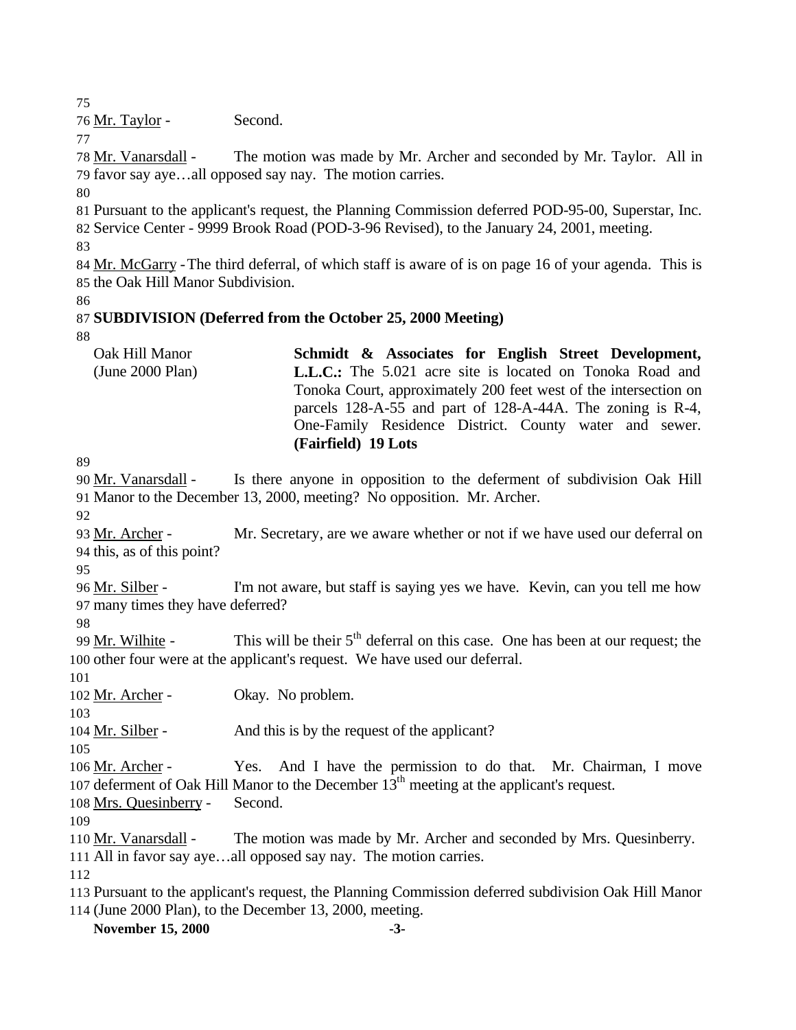Mr. Taylor - Second.

78 Mr. Vanarsdall - The motion was made by Mr. Archer and seconded by Mr. Taylor. All in favor say aye…all opposed say nay. The motion carries.

 Pursuant to the applicant's request, the Planning Commission deferred POD-95-00, Superstar, Inc. Service Center - 9999 Brook Road (POD-3-96 Revised), to the January 24, 2001, meeting.

84 Mr. McGarry - The third deferral, of which staff is aware of is on page 16 of your agenda. This is the Oak Hill Manor Subdivision.

# **SUBDIVISION (Deferred from the October 25, 2000 Meeting)**

| Oak Hill Manor     | Schmidt & Associates for English Street Development,             |
|--------------------|------------------------------------------------------------------|
| (June $2000$ Plan) | <b>L.L.C.:</b> The 5.021 acre site is located on Tonoka Road and |
|                    | Tonoka Court, approximately 200 feet west of the intersection on |
|                    | parcels 128-A-55 and part of 128-A-44A. The zoning is R-4,       |
|                    | One-Family Residence District. County water and sewer.           |
|                    | (Fairfield) 19 Lots                                              |

 Mr. Vanarsdall - Is there anyone in opposition to the deferment of subdivision Oak Hill Manor to the December 13, 2000, meeting? No opposition. Mr. Archer.

 Mr. Archer - Mr. Secretary, are we aware whether or not if we have used our deferral on this, as of this point?

 Mr. Silber - I'm not aware, but staff is saying yes we have. Kevin, can you tell me how many times they have deferred?

99 Mr. Wilhite - This will be their  $5<sup>th</sup>$  deferral on this case. One has been at our request; the other four were at the applicant's request. We have used our deferral.

Mr. Archer - Okay. No problem.

Mr. Silber - And this is by the request of the applicant?

106 Mr. Archer - Yes. And I have the permission to do that. Mr. Chairman, I move 107 deferment of Oak Hill Manor to the December  $13<sup>th</sup>$  meeting at the applicant's request.

Mrs. Quesinberry - Second.

 Mr. Vanarsdall - The motion was made by Mr. Archer and seconded by Mrs. Quesinberry. All in favor say aye…all opposed say nay. The motion carries.

 Pursuant to the applicant's request, the Planning Commission deferred subdivision Oak Hill Manor (June 2000 Plan), to the December 13, 2000, meeting.

**November 15, 2000 -3-**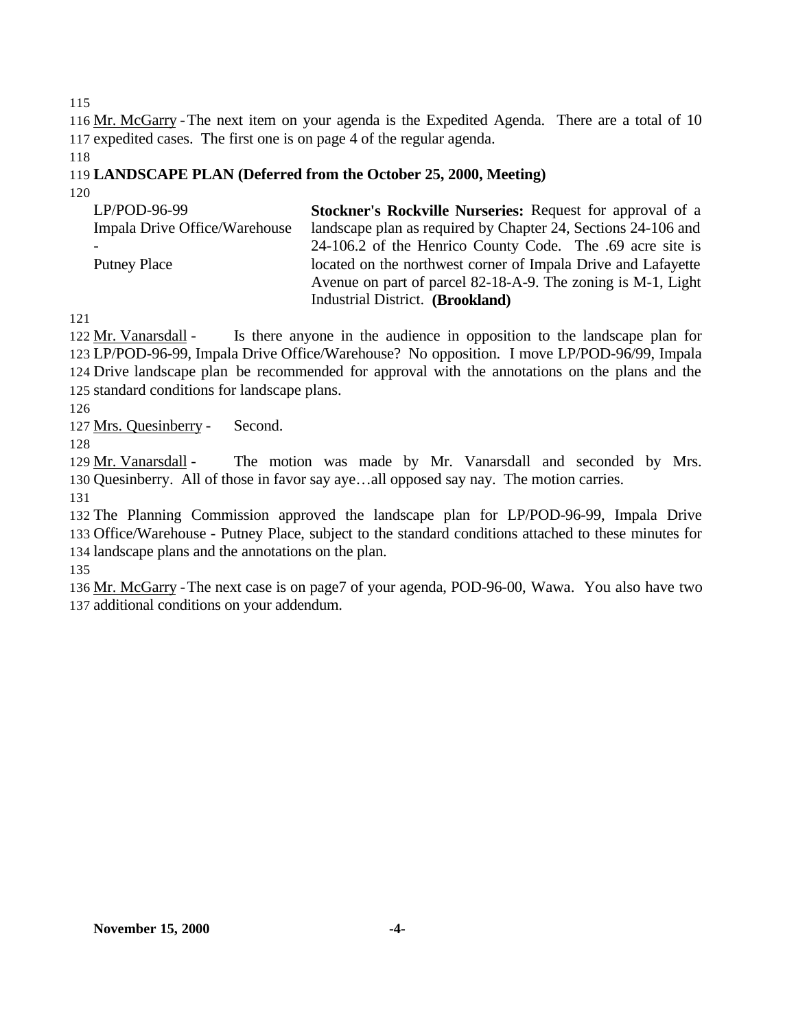116 Mr. McGarry - The next item on your agenda is the Expedited Agenda. There are a total of 10 expedited cases. The first one is on page 4 of the regular agenda.

# **LANDSCAPE PLAN (Deferred from the October 25, 2000, Meeting)**

| $LP/POD-96-99$                | <b>Stockner's Rockville Nurseries: Request for approval of a</b> |
|-------------------------------|------------------------------------------------------------------|
| Impala Drive Office/Warehouse | landscape plan as required by Chapter 24, Sections 24-106 and    |
|                               | 24-106.2 of the Henrico County Code. The .69 acre site is        |
| <b>Putney Place</b>           | located on the northwest corner of Impala Drive and Lafayette    |
|                               | Avenue on part of parcel 82-18-A-9. The zoning is M-1, Light     |
|                               | Industrial District. (Brookland)                                 |

122 Mr. Vanarsdall - Is there anyone in the audience in opposition to the landscape plan for LP/POD-96-99, Impala Drive Office/Warehouse? No opposition. I move LP/POD-96/99, Impala Drive landscape plan be recommended for approval with the annotations on the plans and the standard conditions for landscape plans.

Mrs. Quesinberry - Second.

 Mr. Vanarsdall - The motion was made by Mr. Vanarsdall and seconded by Mrs. Quesinberry. All of those in favor say aye…all opposed say nay. The motion carries.

 The Planning Commission approved the landscape plan for LP/POD-96-99, Impala Drive Office/Warehouse - Putney Place, subject to the standard conditions attached to these minutes for landscape plans and the annotations on the plan.

 Mr. McGarry -The next case is on page7 of your agenda, POD-96-00, Wawa. You also have two additional conditions on your addendum.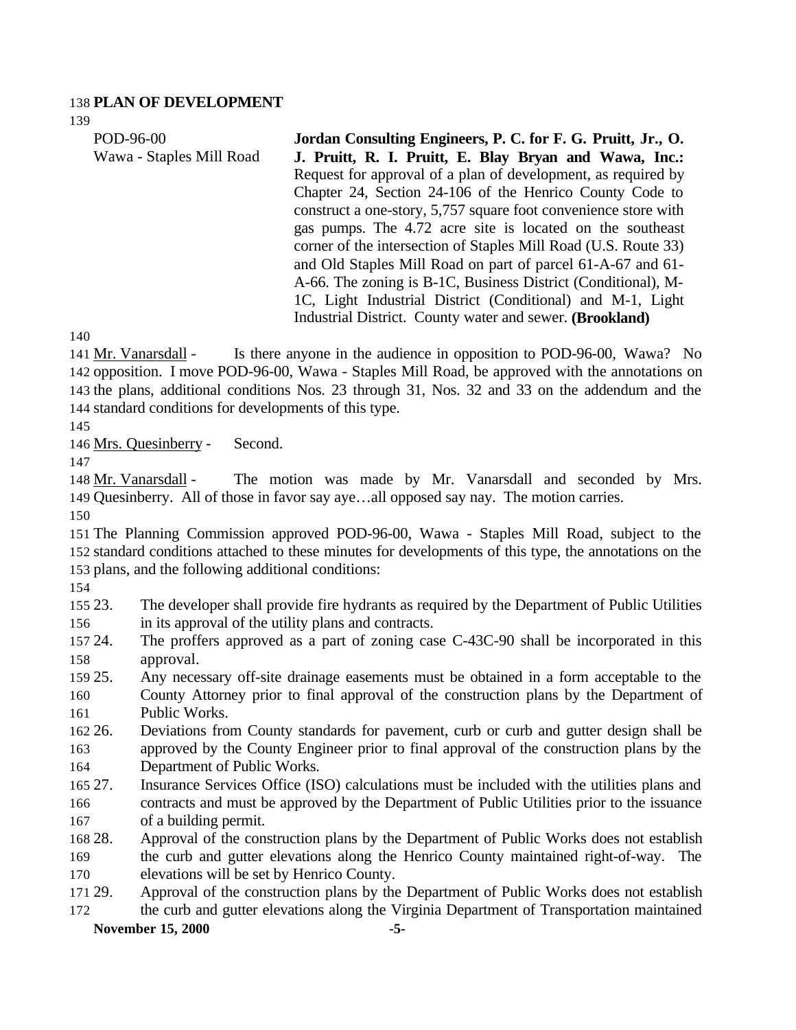#### **PLAN OF DEVELOPMENT**

| POD-96-00                | Jordan Consulting Engineers, P. C. for F. G. Pruitt, Jr., O.    |
|--------------------------|-----------------------------------------------------------------|
| Wawa - Staples Mill Road | J. Pruitt, R. I. Pruitt, E. Blay Bryan and Wawa, Inc.:          |
|                          | Request for approval of a plan of development, as required by   |
|                          | Chapter 24, Section 24-106 of the Henrico County Code to        |
|                          | construct a one-story, 5,757 square foot convenience store with |
|                          | gas pumps. The 4.72 acre site is located on the southeast       |
|                          | corner of the intersection of Staples Mill Road (U.S. Route 33) |
|                          | and Old Staples Mill Road on part of parcel 61-A-67 and 61-     |
|                          | A-66. The zoning is B-1C, Business District (Conditional), M-   |
|                          | 1C, Light Industrial District (Conditional) and M-1, Light      |
|                          | Industrial District. County water and sewer. (Brookland)        |

 Mr. Vanarsdall - Is there anyone in the audience in opposition to POD-96-00, Wawa? No opposition. I move POD-96-00, Wawa - Staples Mill Road, be approved with the annotations on the plans, additional conditions Nos. 23 through 31, Nos. 32 and 33 on the addendum and the standard conditions for developments of this type.

Mrs. Quesinberry - Second.

 Mr. Vanarsdall - The motion was made by Mr. Vanarsdall and seconded by Mrs. Quesinberry. All of those in favor say aye…all opposed say nay. The motion carries.

 The Planning Commission approved POD-96-00, Wawa - Staples Mill Road, subject to the standard conditions attached to these minutes for developments of this type, the annotations on the plans, and the following additional conditions:

- 23. The developer shall provide fire hydrants as required by the Department of Public Utilities in its approval of the utility plans and contracts.
- 24. The proffers approved as a part of zoning case C-43C-90 shall be incorporated in this approval.
- 25. Any necessary off-site drainage easements must be obtained in a form acceptable to the County Attorney prior to final approval of the construction plans by the Department of Public Works.
- 26. Deviations from County standards for pavement, curb or curb and gutter design shall be approved by the County Engineer prior to final approval of the construction plans by the Department of Public Works.
- 27. Insurance Services Office (ISO) calculations must be included with the utilities plans and contracts and must be approved by the Department of Public Utilities prior to the issuance of a building permit.
- 28. Approval of the construction plans by the Department of Public Works does not establish the curb and gutter elevations along the Henrico County maintained right-of-way. The elevations will be set by Henrico County.
- 29. Approval of the construction plans by the Department of Public Works does not establish the curb and gutter elevations along the Virginia Department of Transportation maintained

## **November 15, 2000 -5-**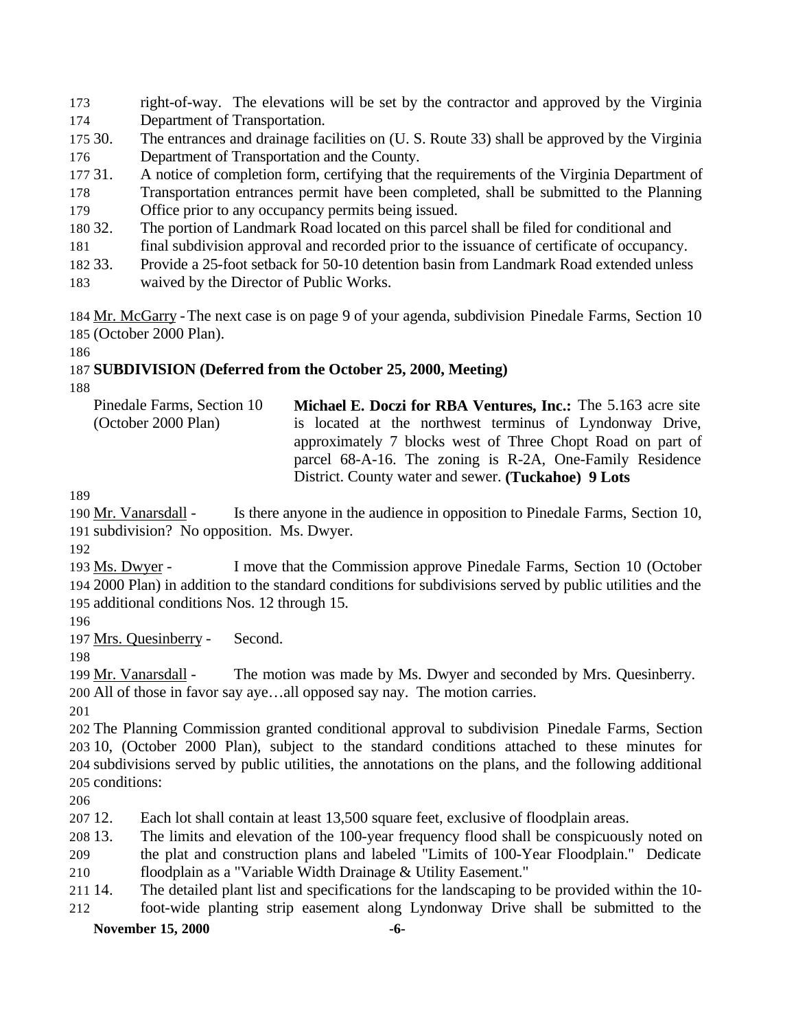- right-of-way. The elevations will be set by the contractor and approved by the Virginia Department of Transportation.
- 30. The entrances and drainage facilities on (U. S. Route 33) shall be approved by the Virginia Department of Transportation and the County.
- 31. A notice of completion form, certifying that the requirements of the Virginia Department of
- Transportation entrances permit have been completed, shall be submitted to the Planning Office prior to any occupancy permits being issued.
- 32. The portion of Landmark Road located on this parcel shall be filed for conditional and
- final subdivision approval and recorded prior to the issuance of certificate of occupancy.
- 33. Provide a 25-foot setback for 50-10 detention basin from Landmark Road extended unless
- waived by the Director of Public Works.

 Mr. McGarry -The next case is on page 9 of your agenda, subdivision Pinedale Farms, Section 10 (October 2000 Plan).

# **SUBDIVISION (Deferred from the October 25, 2000, Meeting)**

| Pinedale Farms, Section 10 | Michael E. Doczi for RBA Ventures, Inc.: The 5.163 acre site |
|----------------------------|--------------------------------------------------------------|
| (October 2000 Plan)        | is located at the northwest terminus of Lyndonway Drive,     |
|                            | approximately 7 blocks west of Three Chopt Road on part of   |
|                            | parcel 68-A-16. The zoning is R-2A, One-Family Residence     |
|                            | District. County water and sewer. (Tuckahoe) 9 Lots          |

190 Mr. Vanarsdall - Is there anyone in the audience in opposition to Pinedale Farms, Section 10, subdivision? No opposition. Ms. Dwyer.

 Ms. Dwyer - I move that the Commission approve Pinedale Farms, Section 10 (October 2000 Plan) in addition to the standard conditions for subdivisions served by public utilities and the additional conditions Nos. 12 through 15.

Mrs. Quesinberry - Second.

 Mr. Vanarsdall - The motion was made by Ms. Dwyer and seconded by Mrs. Quesinberry. All of those in favor say aye…all opposed say nay. The motion carries.

 The Planning Commission granted conditional approval to subdivision Pinedale Farms, Section 10, (October 2000 Plan), subject to the standard conditions attached to these minutes for subdivisions served by public utilities, the annotations on the plans, and the following additional conditions:

12. Each lot shall contain at least 13,500 square feet, exclusive of floodplain areas.

13. The limits and elevation of the 100-year frequency flood shall be conspicuously noted on

the plat and construction plans and labeled "Limits of 100-Year Floodplain." Dedicate

floodplain as a "Variable Width Drainage & Utility Easement."

 14. The detailed plant list and specifications for the landscaping to be provided within the 10- foot-wide planting strip easement along Lyndonway Drive shall be submitted to the

## **November 15, 2000 -6-**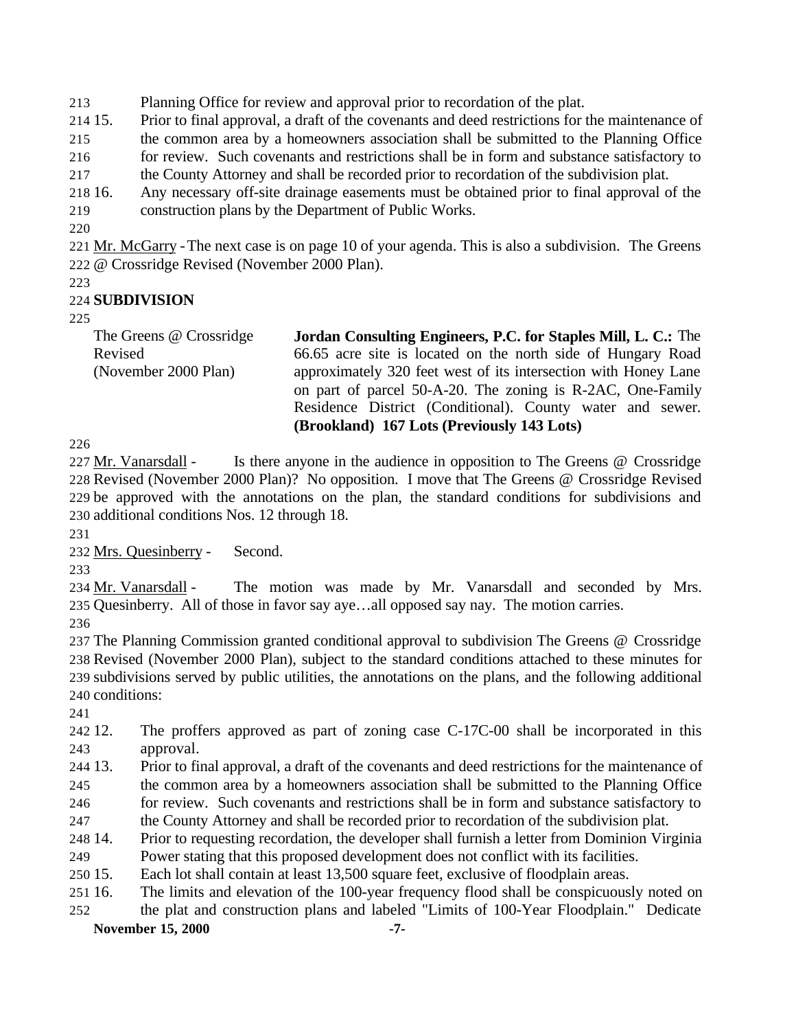Planning Office for review and approval prior to recordation of the plat.

15. Prior to final approval, a draft of the covenants and deed restrictions for the maintenance of

the common area by a homeowners association shall be submitted to the Planning Office

for review. Such covenants and restrictions shall be in form and substance satisfactory to

the County Attorney and shall be recorded prior to recordation of the subdivision plat.

16. Any necessary off-site drainage easements must be obtained prior to final approval of the

- construction plans by the Department of Public Works.
- 

 Mr. McGarry -The next case is on page 10 of your agenda. This is also a subdivision. The Greens @ Crossridge Revised (November 2000 Plan).

# **SUBDIVISION**

The Greens @ Crossridge Revised (November 2000 Plan) **Jordan Consulting Engineers, P.C. for Staples Mill, L. C.:** The 66.65 acre site is located on the north side of Hungary Road approximately 320 feet west of its intersection with Honey Lane on part of parcel 50-A-20. The zoning is R-2AC, One-Family Residence District (Conditional). County water and sewer. **(Brookland) 167 Lots (Previously 143 Lots)**

 Mr. Vanarsdall - Is there anyone in the audience in opposition to The Greens @ Crossridge Revised (November 2000 Plan)? No opposition. I move that The Greens @ Crossridge Revised be approved with the annotations on the plan, the standard conditions for subdivisions and additional conditions Nos. 12 through 18.

Mrs. Quesinberry - Second.

 Mr. Vanarsdall - The motion was made by Mr. Vanarsdall and seconded by Mrs. Quesinberry. All of those in favor say aye…all opposed say nay. The motion carries.

 The Planning Commission granted conditional approval to subdivision The Greens @ Crossridge Revised (November 2000 Plan), subject to the standard conditions attached to these minutes for subdivisions served by public utilities, the annotations on the plans, and the following additional conditions:

 12. The proffers approved as part of zoning case C-17C-00 shall be incorporated in this approval.

13. Prior to final approval, a draft of the covenants and deed restrictions for the maintenance of

 the common area by a homeowners association shall be submitted to the Planning Office for review. Such covenants and restrictions shall be in form and substance satisfactory to

the County Attorney and shall be recorded prior to recordation of the subdivision plat.

14. Prior to requesting recordation, the developer shall furnish a letter from Dominion Virginia

 Power stating that this proposed development does not conflict with its facilities. 15. Each lot shall contain at least 13,500 square feet, exclusive of floodplain areas.

 16. The limits and elevation of the 100-year frequency flood shall be conspicuously noted on the plat and construction plans and labeled "Limits of 100-Year Floodplain." Dedicate

**November 15, 2000 -7-**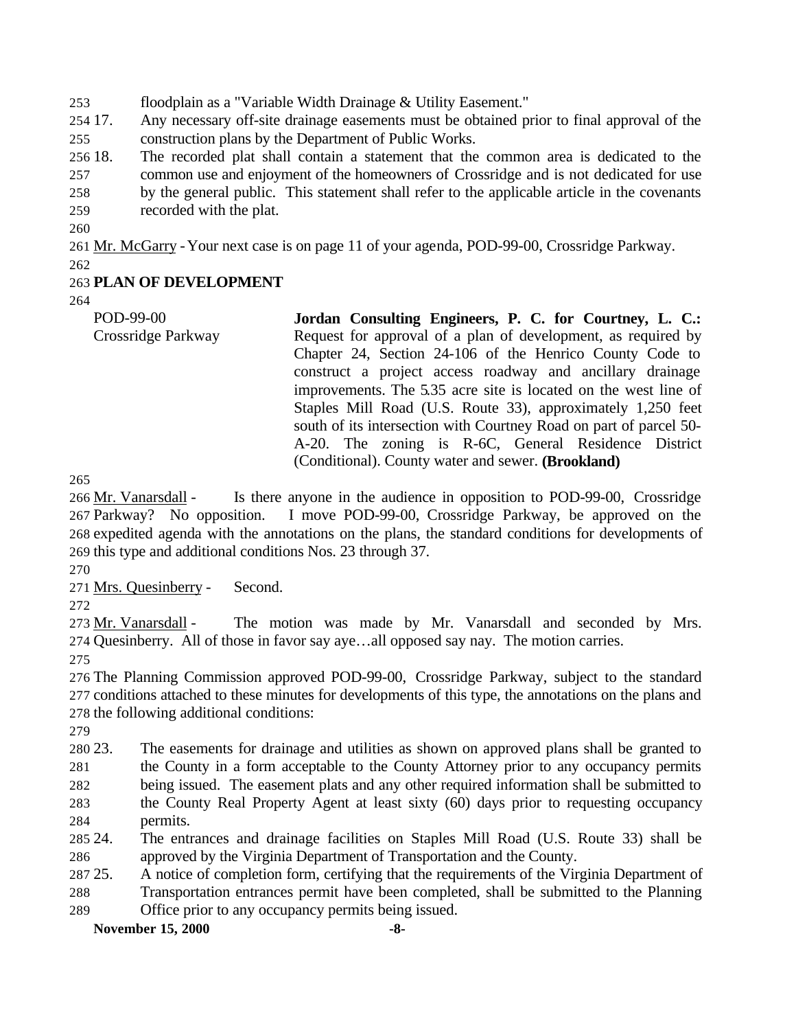floodplain as a "Variable Width Drainage & Utility Easement."

 17. Any necessary off-site drainage easements must be obtained prior to final approval of the construction plans by the Department of Public Works.

 18. The recorded plat shall contain a statement that the common area is dedicated to the common use and enjoyment of the homeowners of Crossridge and is not dedicated for use by the general public. This statement shall refer to the applicable article in the covenants recorded with the plat.

Mr. McGarry -Your next case is on page 11 of your agenda, POD-99-00, Crossridge Parkway.

## **PLAN OF DEVELOPMENT**

POD-99-00 Crossridge Parkway **Jordan Consulting Engineers, P. C. for Courtney, L. C.:** Request for approval of a plan of development, as required by Chapter 24, Section 24-106 of the Henrico County Code to construct a project access roadway and ancillary drainage improvements. The 5.35 acre site is located on the west line of Staples Mill Road (U.S. Route 33), approximately 1,250 feet south of its intersection with Courtney Road on part of parcel 50- A-20. The zoning is R-6C, General Residence District (Conditional). County water and sewer. **(Brookland)**

266 Mr. Vanarsdall - Is there anyone in the audience in opposition to POD-99-00, Crossridge Parkway? No opposition. I move POD-99-00, Crossridge Parkway, be approved on the expedited agenda with the annotations on the plans, the standard conditions for developments of this type and additional conditions Nos. 23 through 37.

Mrs. Quesinberry - Second.

 Mr. Vanarsdall - The motion was made by Mr. Vanarsdall and seconded by Mrs. Quesinberry. All of those in favor say aye…all opposed say nay. The motion carries.

 The Planning Commission approved POD-99-00, Crossridge Parkway, subject to the standard conditions attached to these minutes for developments of this type, the annotations on the plans and the following additional conditions:

 23. The easements for drainage and utilities as shown on approved plans shall be granted to the County in a form acceptable to the County Attorney prior to any occupancy permits

being issued. The easement plats and any other required information shall be submitted to

 the County Real Property Agent at least sixty (60) days prior to requesting occupancy permits.

 24. The entrances and drainage facilities on Staples Mill Road (U.S. Route 33) shall be approved by the Virginia Department of Transportation and the County.

25. A notice of completion form, certifying that the requirements of the Virginia Department of

Transportation entrances permit have been completed, shall be submitted to the Planning

Office prior to any occupancy permits being issued.

**November 15, 2000 -8-**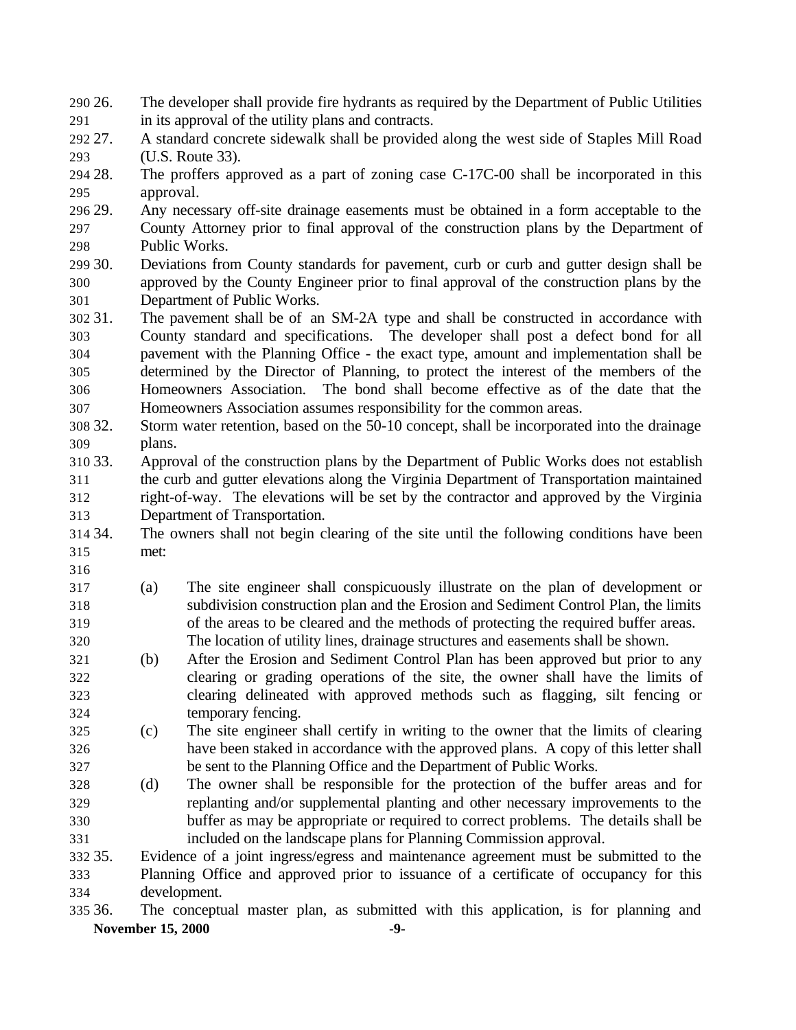- 26. The developer shall provide fire hydrants as required by the Department of Public Utilities in its approval of the utility plans and contracts.
- 27. A standard concrete sidewalk shall be provided along the west side of Staples Mill Road (U.S. Route 33).
- 28. The proffers approved as a part of zoning case C-17C-00 shall be incorporated in this approval.
- 29. Any necessary off-site drainage easements must be obtained in a form acceptable to the County Attorney prior to final approval of the construction plans by the Department of Public Works.
- 30. Deviations from County standards for pavement, curb or curb and gutter design shall be approved by the County Engineer prior to final approval of the construction plans by the Department of Public Works.
- 31. The pavement shall be of an SM-2A type and shall be constructed in accordance with County standard and specifications. The developer shall post a defect bond for all pavement with the Planning Office - the exact type, amount and implementation shall be determined by the Director of Planning, to protect the interest of the members of the Homeowners Association. The bond shall become effective as of the date that the Homeowners Association assumes responsibility for the common areas.
- 32. Storm water retention, based on the 50-10 concept, shall be incorporated into the drainage plans.
- 33. Approval of the construction plans by the Department of Public Works does not establish the curb and gutter elevations along the Virginia Department of Transportation maintained right-of-way. The elevations will be set by the contractor and approved by the Virginia Department of Transportation.
- 34. The owners shall not begin clearing of the site until the following conditions have been met:
- 
- (a) The site engineer shall conspicuously illustrate on the plan of development or subdivision construction plan and the Erosion and Sediment Control Plan, the limits of the areas to be cleared and the methods of protecting the required buffer areas. The location of utility lines, drainage structures and easements shall be shown.
- (b) After the Erosion and Sediment Control Plan has been approved but prior to any clearing or grading operations of the site, the owner shall have the limits of clearing delineated with approved methods such as flagging, silt fencing or temporary fencing.
- (c) The site engineer shall certify in writing to the owner that the limits of clearing have been staked in accordance with the approved plans. A copy of this letter shall be sent to the Planning Office and the Department of Public Works.
- (d) The owner shall be responsible for the protection of the buffer areas and for replanting and/or supplemental planting and other necessary improvements to the buffer as may be appropriate or required to correct problems. The details shall be included on the landscape plans for Planning Commission approval.

 35. Evidence of a joint ingress/egress and maintenance agreement must be submitted to the Planning Office and approved prior to issuance of a certificate of occupancy for this development.

**November 15, 2000 -9-** 36. The conceptual master plan, as submitted with this application, is for planning and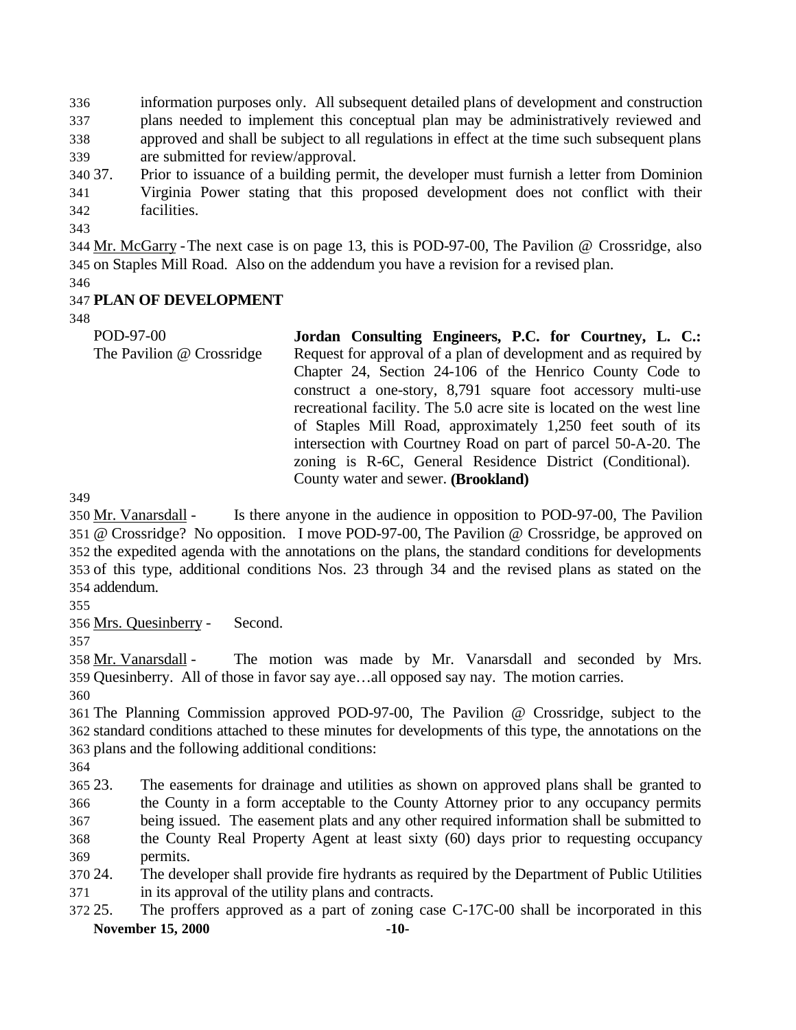information purposes only. All subsequent detailed plans of development and construction plans needed to implement this conceptual plan may be administratively reviewed and approved and shall be subject to all regulations in effect at the time such subsequent plans are submitted for review/approval.

- 37. Prior to issuance of a building permit, the developer must furnish a letter from Dominion Virginia Power stating that this proposed development does not conflict with their facilities.
- 

 Mr. McGarry -The next case is on page 13, this is POD-97-00, The Pavilion @ Crossridge, also on Staples Mill Road. Also on the addendum you have a revision for a revised plan.

# **PLAN OF DEVELOPMENT**

POD-97-00 The Pavilion @ Crossridge **Jordan Consulting Engineers, P.C. for Courtney, L. C.:** Request for approval of a plan of development and as required by Chapter 24, Section 24-106 of the Henrico County Code to construct a one-story, 8,791 square foot accessory multi-use recreational facility. The 5.0 acre site is located on the west line of Staples Mill Road, approximately 1,250 feet south of its intersection with Courtney Road on part of parcel 50-A-20. The zoning is R-6C, General Residence District (Conditional). County water and sewer. **(Brookland)**

350 Mr. Vanarsdall - Is there anyone in the audience in opposition to POD-97-00, The Pavilion @ Crossridge? No opposition. I move POD-97-00, The Pavilion @ Crossridge, be approved on the expedited agenda with the annotations on the plans, the standard conditions for developments of this type, additional conditions Nos. 23 through 34 and the revised plans as stated on the addendum.

Mrs. Quesinberry - Second.

 Mr. Vanarsdall - The motion was made by Mr. Vanarsdall and seconded by Mrs. Quesinberry. All of those in favor say aye…all opposed say nay. The motion carries.

 The Planning Commission approved POD-97-00, The Pavilion @ Crossridge, subject to the standard conditions attached to these minutes for developments of this type, the annotations on the plans and the following additional conditions:

 23. The easements for drainage and utilities as shown on approved plans shall be granted to the County in a form acceptable to the County Attorney prior to any occupancy permits being issued. The easement plats and any other required information shall be submitted to the County Real Property Agent at least sixty (60) days prior to requesting occupancy permits.

- 24. The developer shall provide fire hydrants as required by the Department of Public Utilities in its approval of the utility plans and contracts.
- **November 15, 2000 -10-** 25. The proffers approved as a part of zoning case C-17C-00 shall be incorporated in this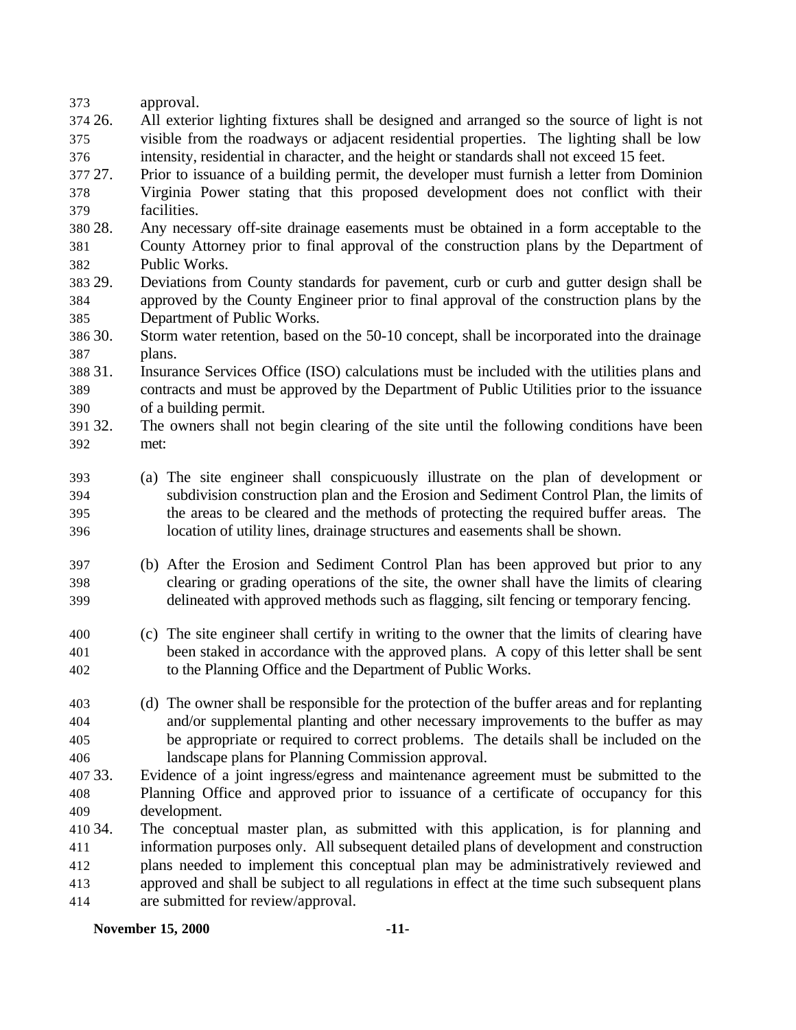| 373 | approval. |
|-----|-----------|
|     |           |

- 26. All exterior lighting fixtures shall be designed and arranged so the source of light is not visible from the roadways or adjacent residential properties. The lighting shall be low intensity, residential in character, and the height or standards shall not exceed 15 feet.
- 27. Prior to issuance of a building permit, the developer must furnish a letter from Dominion Virginia Power stating that this proposed development does not conflict with their facilities.
- 28. Any necessary off-site drainage easements must be obtained in a form acceptable to the County Attorney prior to final approval of the construction plans by the Department of Public Works.
- 29. Deviations from County standards for pavement, curb or curb and gutter design shall be approved by the County Engineer prior to final approval of the construction plans by the Department of Public Works.
- 30. Storm water retention, based on the 50-10 concept, shall be incorporated into the drainage plans.
- 31. Insurance Services Office (ISO) calculations must be included with the utilities plans and contracts and must be approved by the Department of Public Utilities prior to the issuance of a building permit.
- 32. The owners shall not begin clearing of the site until the following conditions have been met:
- (a) The site engineer shall conspicuously illustrate on the plan of development or subdivision construction plan and the Erosion and Sediment Control Plan, the limits of the areas to be cleared and the methods of protecting the required buffer areas. The location of utility lines, drainage structures and easements shall be shown.
- (b) After the Erosion and Sediment Control Plan has been approved but prior to any clearing or grading operations of the site, the owner shall have the limits of clearing delineated with approved methods such as flagging, silt fencing or temporary fencing.
- (c) The site engineer shall certify in writing to the owner that the limits of clearing have been staked in accordance with the approved plans. A copy of this letter shall be sent to the Planning Office and the Department of Public Works.
- (d) The owner shall be responsible for the protection of the buffer areas and for replanting and/or supplemental planting and other necessary improvements to the buffer as may be appropriate or required to correct problems. The details shall be included on the landscape plans for Planning Commission approval.
- 33. Evidence of a joint ingress/egress and maintenance agreement must be submitted to the Planning Office and approved prior to issuance of a certificate of occupancy for this development.
- 34. The conceptual master plan, as submitted with this application, is for planning and information purposes only. All subsequent detailed plans of development and construction plans needed to implement this conceptual plan may be administratively reviewed and approved and shall be subject to all regulations in effect at the time such subsequent plans are submitted for review/approval.

#### **November 15, 2000 -11-**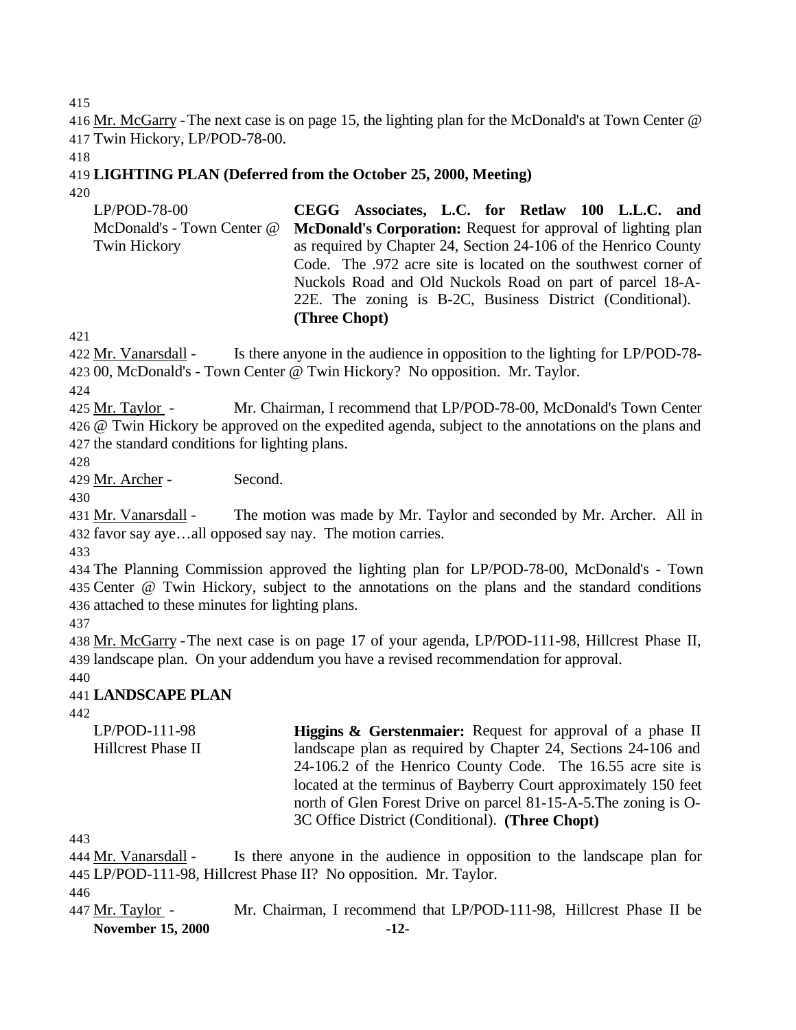415

416 Mr. McGarry - The next case is on page 15, the lighting plan for the McDonald's at Town Center @ 417 Twin Hickory, LP/POD-78-00.

418

#### 419 **LIGHTING PLAN (Deferred from the October 25, 2000, Meeting)** 420

LP/POD-78-00 McDonald's - Town Center @ Twin Hickory **CEGG Associates, L.C. for Retlaw 100 L.L.C. and McDonald's Corporation:** Request for approval of lighting plan as required by Chapter 24, Section 24-106 of the Henrico County Code. The .972 acre site is located on the southwest corner of Nuckols Road and Old Nuckols Road on part of parcel 18-A-22E. The zoning is B-2C, Business District (Conditional). **(Three Chopt)**

421

422 Mr. Vanarsdall - Is there anyone in the audience in opposition to the lighting for LP/POD-78- 423 00, McDonald's - Town Center @ Twin Hickory? No opposition. Mr. Taylor.

424

425 Mr. Taylor - Mr. Chairman, I recommend that LP/POD-78-00, McDonald's Town Center 426 @ Twin Hickory be approved on the expedited agenda, subject to the annotations on the plans and 427 the standard conditions for lighting plans.

428

429 Mr. Archer - Second.

430

431 Mr. Vanarsdall - The motion was made by Mr. Taylor and seconded by Mr. Archer. All in 432 favor say aye…all opposed say nay. The motion carries.

433

434 The Planning Commission approved the lighting plan for LP/POD-78-00, McDonald's - Town 435 Center @ Twin Hickory, subject to the annotations on the plans and the standard conditions 436 attached to these minutes for lighting plans.

437

438 Mr. McGarry -The next case is on page 17 of your agenda, LP/POD-111-98, Hillcrest Phase II, 439 landscape plan. On your addendum you have a revised recommendation for approval.

440

# 441 **LANDSCAPE PLAN**

442

| $LP/POD-111-98$    | <b>Higgins &amp; Gerstenmaier:</b> Request for approval of a phase II |
|--------------------|-----------------------------------------------------------------------|
| Hillcrest Phase II | landscape plan as required by Chapter 24, Sections 24-106 and         |
|                    | 24-106.2 of the Henrico County Code. The 16.55 acre site is           |
|                    | located at the terminus of Bayberry Court approximately 150 feet      |
|                    | north of Glen Forest Drive on parcel 81-15-A-5. The zoning is O-      |
|                    | 3C Office District (Conditional). (Three Chopt)                       |
|                    |                                                                       |

443

444 Mr. Vanarsdall - Is there anyone in the audience in opposition to the landscape plan for 445 LP/POD-111-98, Hillcrest Phase II? No opposition. Mr. Taylor. 446

**November 15, 2000 -12-** 447 Mr. Taylor - Mr. Chairman, I recommend that LP/POD-111-98, Hillcrest Phase II be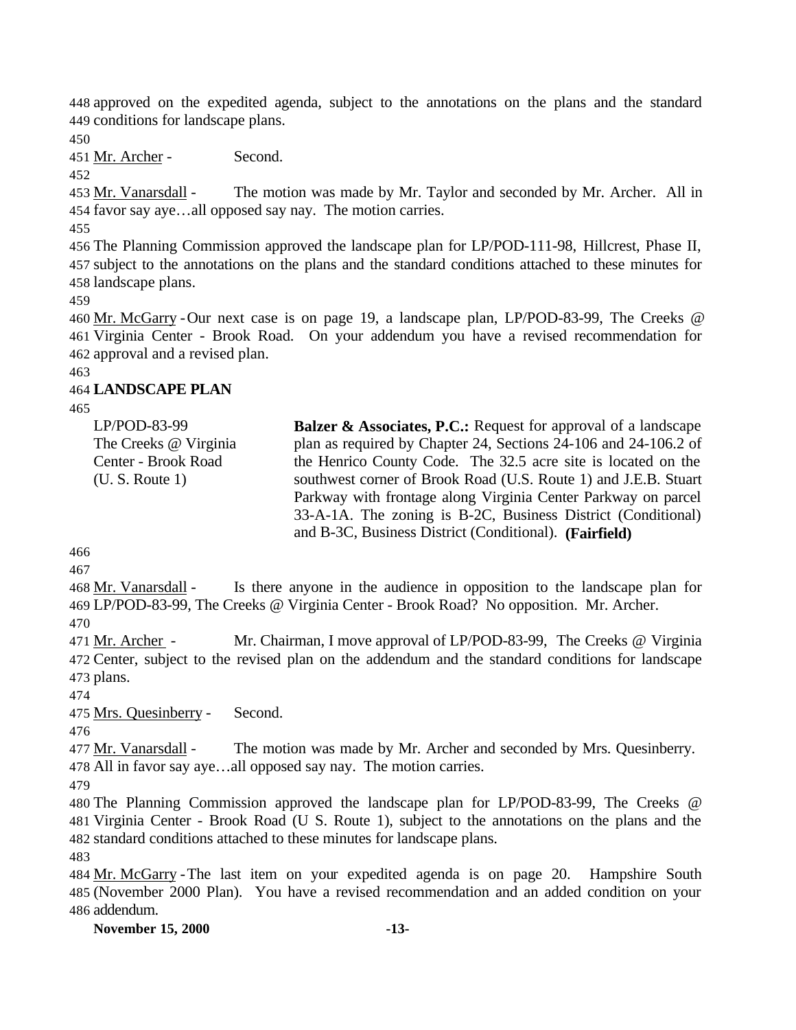approved on the expedited agenda, subject to the annotations on the plans and the standard conditions for landscape plans.

Mr. Archer - Second.

 Mr. Vanarsdall - The motion was made by Mr. Taylor and seconded by Mr. Archer. All in favor say aye…all opposed say nay. The motion carries.

 The Planning Commission approved the landscape plan for LP/POD-111-98, Hillcrest, Phase II, subject to the annotations on the plans and the standard conditions attached to these minutes for landscape plans.

 Mr. McGarry -Our next case is on page 19, a landscape plan, LP/POD-83-99, The Creeks @ Virginia Center - Brook Road. On your addendum you have a revised recommendation for approval and a revised plan.

## **LANDSCAPE PLAN**

| $LP/POD-83-99$        | <b>Balzer &amp; Associates, P.C.:</b> Request for approval of a landscape |
|-----------------------|---------------------------------------------------------------------------|
| The Creeks @ Virginia | plan as required by Chapter 24, Sections 24-106 and 24-106.2 of           |
| Center - Brook Road   | the Henrico County Code. The 32.5 acre site is located on the             |
| (U. S. Route 1)       | southwest corner of Brook Road (U.S. Route 1) and J.E.B. Stuart           |
|                       | Parkway with frontage along Virginia Center Parkway on parcel             |
|                       | 33-A-1A. The zoning is B-2C, Business District (Conditional)              |
|                       | and B-3C, Business District (Conditional). (Fairfield)                    |

 Mr. Vanarsdall - Is there anyone in the audience in opposition to the landscape plan for LP/POD-83-99, The Creeks @ Virginia Center - Brook Road? No opposition. Mr. Archer. 

 Mr. Archer - Mr. Chairman, I move approval of LP/POD-83-99, The Creeks @ Virginia Center, subject to the revised plan on the addendum and the standard conditions for landscape plans.

Mrs. Quesinberry - Second.

477 Mr. Vanarsdall - The motion was made by Mr. Archer and seconded by Mrs. Quesinberry. All in favor say aye…all opposed say nay. The motion carries.

 The Planning Commission approved the landscape plan for LP/POD-83-99, The Creeks @ Virginia Center - Brook Road (U S. Route 1), subject to the annotations on the plans and the standard conditions attached to these minutes for landscape plans.

 Mr. McGarry -The last item on your expedited agenda is on page 20. Hampshire South (November 2000 Plan). You have a revised recommendation and an added condition on your addendum.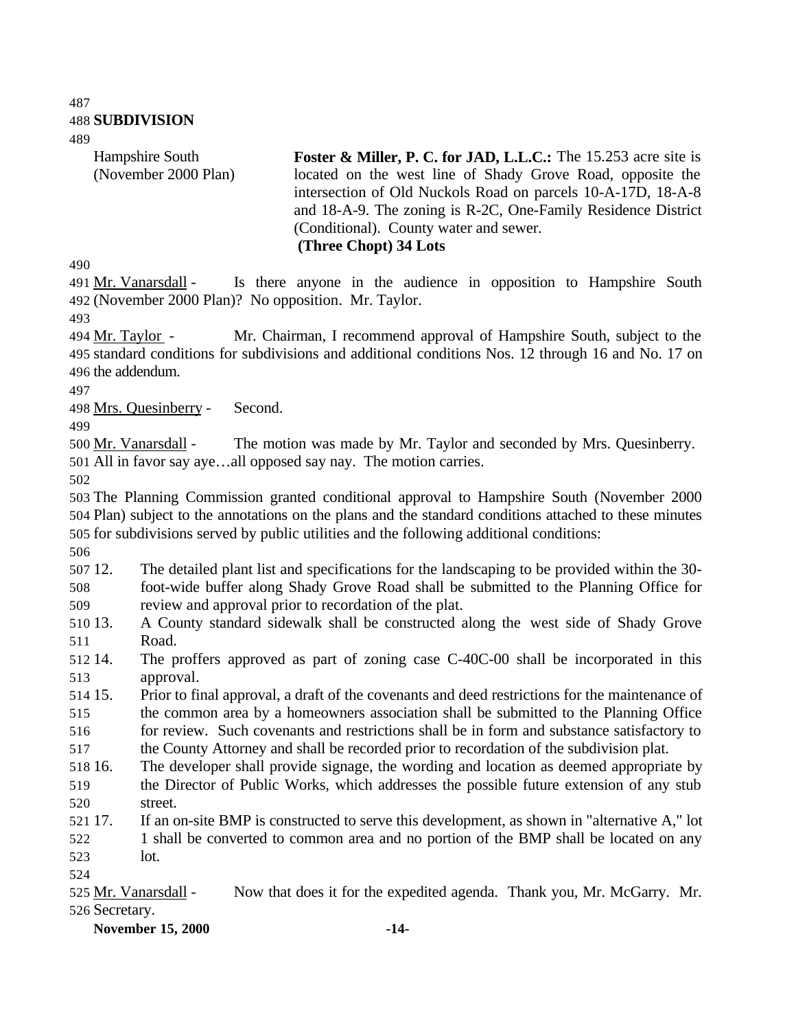**SUBDIVISION**

Hampshire South (November 2000 Plan) **Foster & Miller, P. C. for JAD, L.L.C.:** The 15.253 acre site is located on the west line of Shady Grove Road, opposite the intersection of Old Nuckols Road on parcels 10-A-17D, 18-A-8 and 18-A-9. The zoning is R-2C, One-Family Residence District (Conditional). County water and sewer. **(Three Chopt) 34 Lots** 

 Mr. Vanarsdall - Is there anyone in the audience in opposition to Hampshire South (November 2000 Plan)? No opposition. Mr. Taylor.

494 Mr. Taylor - Mr. Chairman, I recommend approval of Hampshire South, subject to the standard conditions for subdivisions and additional conditions Nos. 12 through 16 and No. 17 on the addendum.

Mrs. Quesinberry - Second.

500 Mr. Vanarsdall - The motion was made by Mr. Taylor and seconded by Mrs. Quesinberry. All in favor say aye…all opposed say nay. The motion carries.

 The Planning Commission granted conditional approval to Hampshire South (November 2000 Plan) subject to the annotations on the plans and the standard conditions attached to these minutes for subdivisions served by public utilities and the following additional conditions:

 12. The detailed plant list and specifications for the landscaping to be provided within the 30- foot-wide buffer along Shady Grove Road shall be submitted to the Planning Office for review and approval prior to recordation of the plat.

 13. A County standard sidewalk shall be constructed along the west side of Shady Grove Road.

 14. The proffers approved as part of zoning case C-40C-00 shall be incorporated in this approval.

 15. Prior to final approval, a draft of the covenants and deed restrictions for the maintenance of the common area by a homeowners association shall be submitted to the Planning Office for review. Such covenants and restrictions shall be in form and substance satisfactory to

the County Attorney and shall be recorded prior to recordation of the subdivision plat.

- 16. The developer shall provide signage, the wording and location as deemed appropriate by the Director of Public Works, which addresses the possible future extension of any stub street.
- 17. If an on-site BMP is constructed to serve this development, as shown in "alternative A," lot 1 shall be converted to common area and no portion of the BMP shall be located on any lot.
- 

**November 15, 2000 -14-**

<sup>525</sup> Mr. Vanarsdall - Now that does it for the expedited agenda. Thank you, Mr. McGarry. Mr. Secretary.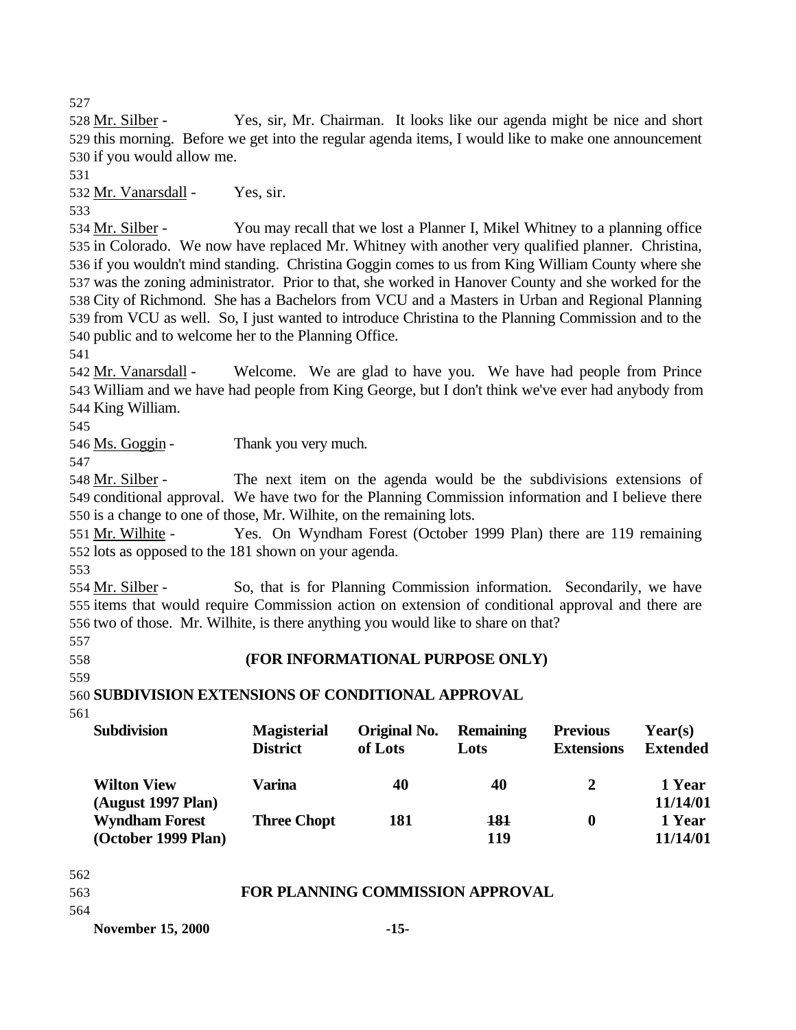527

528 Mr. Silber - Yes, sir, Mr. Chairman. It looks like our agenda might be nice and short 529 this morning. Before we get into the regular agenda items, I would like to make one announcement 530 if you would allow me.

531

532 Mr. Vanarsdall - Yes, sir.

533

534 Mr. Silber - You may recall that we lost a Planner I, Mikel Whitney to a planning office in Colorado. We now have replaced Mr. Whitney with another very qualified planner. Christina, if you wouldn't mind standing. Christina Goggin comes to us from King William County where she was the zoning administrator. Prior to that, she worked in Hanover County and she worked for the City of Richmond. She has a Bachelors from VCU and a Masters in Urban and Regional Planning from VCU as well. So, I just wanted to introduce Christina to the Planning Commission and to the public and to welcome her to the Planning Office.

541

542 Mr. Vanarsdall - Welcome. We are glad to have you. We have had people from Prince 543 William and we have had people from King George, but I don't think we've ever had anybody from 544 King William.

545

546 Ms. Goggin - Thank you very much.

547

548 Mr. Silber - The next item on the agenda would be the subdivisions extensions of 549 conditional approval. We have two for the Planning Commission information and I believe there 550 is a change to one of those, Mr. Wilhite, on the remaining lots.

551 Mr. Wilhite - Yes. On Wyndham Forest (October 1999 Plan) there are 119 remaining 552 lots as opposed to the 181 shown on your agenda.

553

554 Mr. Silber - So, that is for Planning Commission information. Secondarily, we have 555 items that would require Commission action on extension of conditional approval and there are 556 two of those. Mr. Wilhite, is there anything you would like to share on that?

557

558 **(FOR INFORMATIONAL PURPOSE ONLY)**

559

560 **SUBDIVISION EXTENSIONS OF CONDITIONAL APPROVAL**

561

| <b>Subdivision</b>                           | <b>Magisterial</b><br><b>District</b> | Original No.<br>of Lots | <b>Remaining</b><br>Lots | <b>Previous</b><br><b>Extensions</b> | Year(s)<br><b>Extended</b> |
|----------------------------------------------|---------------------------------------|-------------------------|--------------------------|--------------------------------------|----------------------------|
| <b>Wilton View</b><br>(August 1997 Plan)     | Varina                                | 40                      | 40                       |                                      | 1 Year<br>11/14/01         |
| <b>Wyndham Forest</b><br>(October 1999 Plan) | <b>Three Chopt</b>                    | 181                     | 181<br>119               | 0                                    | 1 Year<br>11/14/01         |

562

| 563 | <b>FOR PLANNING COMMISSION APPROVAL</b> |
|-----|-----------------------------------------|
|     |                                         |

564

**November 15, 2000 -15-**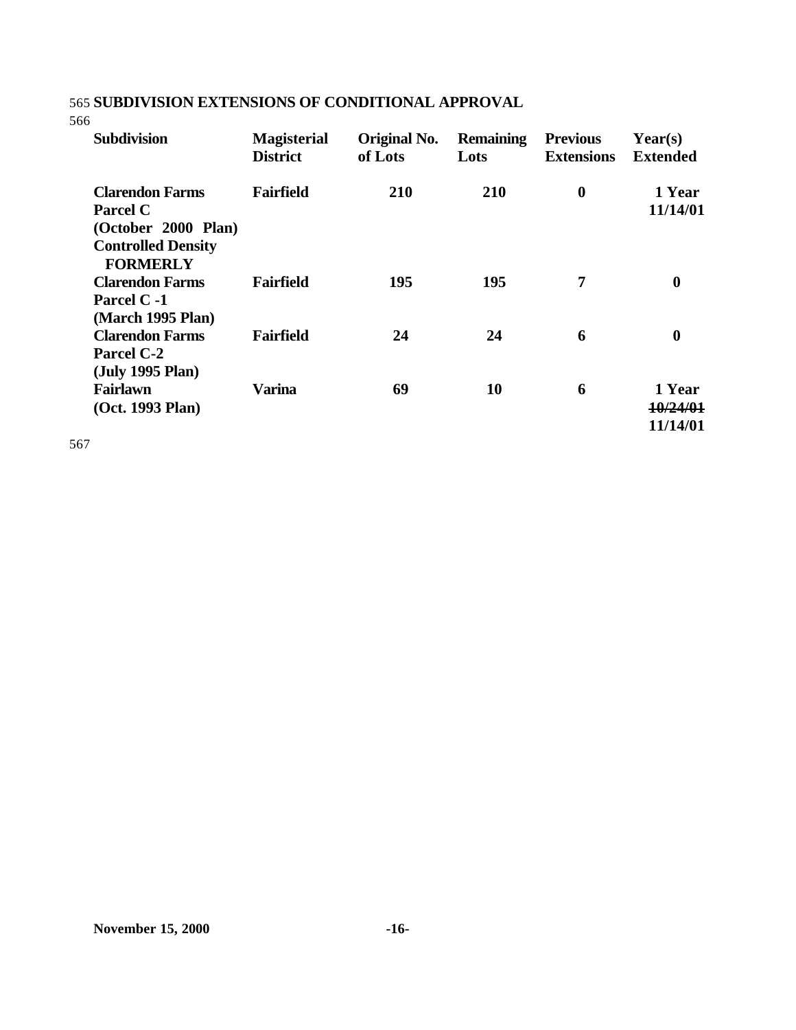# 565 **SUBDIVISION EXTENSIONS OF CONDITIONAL APPROVAL**

566

| <b>Subdivision</b>                                                                                               | <b>Magisterial</b><br><b>District</b> | Original No.<br>of Lots | <b>Remaining</b><br>Lots | <b>Previous</b><br><b>Extensions</b> | Year(s)<br><b>Extended</b>     |
|------------------------------------------------------------------------------------------------------------------|---------------------------------------|-------------------------|--------------------------|--------------------------------------|--------------------------------|
| <b>Clarendon Farms</b><br><b>Parcel C</b><br>(October 2000 Plan)<br><b>Controlled Density</b><br><b>FORMERLY</b> | <b>Fairfield</b>                      | 210                     | 210                      | $\boldsymbol{0}$                     | 1 Year<br>11/14/01             |
| <b>Clarendon Farms</b><br>Parcel C -1<br>(March 1995 Plan)                                                       | <b>Fairfield</b>                      | 195                     | 195                      | 7                                    | $\boldsymbol{0}$               |
| <b>Clarendon Farms</b><br><b>Parcel C-2</b><br>(July 1995 Plan)                                                  | <b>Fairfield</b>                      | 24                      | 24                       | 6                                    | $\boldsymbol{0}$               |
| Fairlawn<br>(Oct. 1993 Plan)                                                                                     | <b>Varina</b>                         | 69                      | <b>10</b>                | 6                                    | 1 Year<br>10/24/01<br>11/14/01 |

567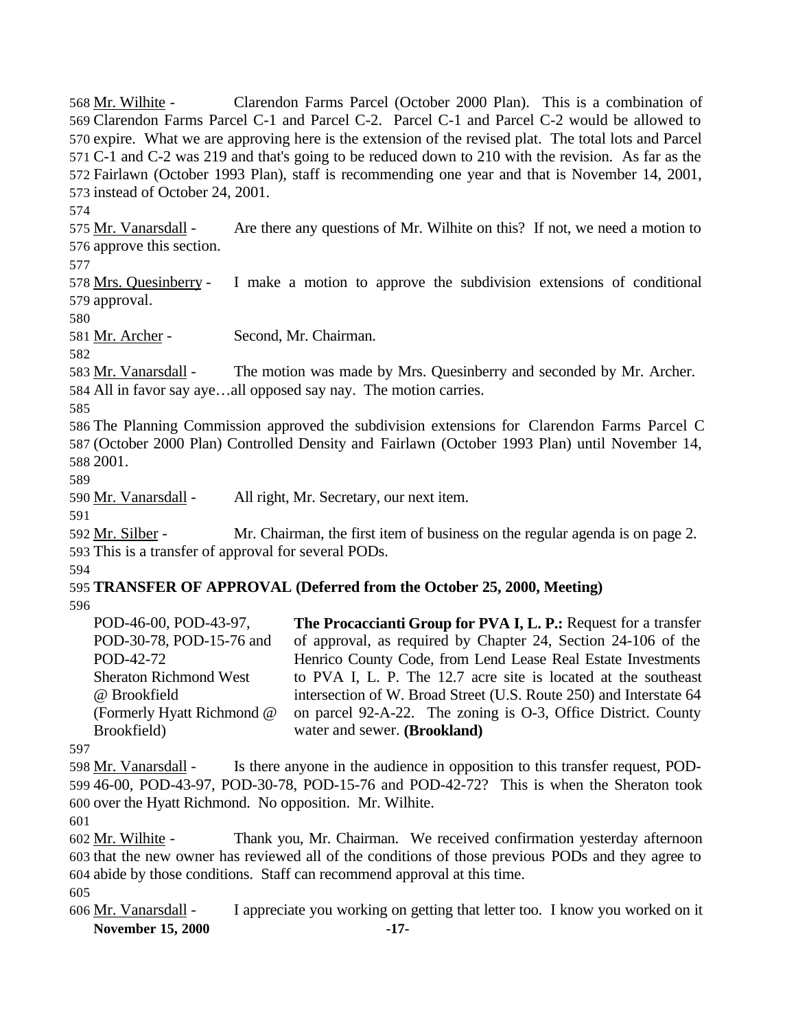Mr. Wilhite - Clarendon Farms Parcel (October 2000 Plan). This is a combination of Clarendon Farms Parcel C-1 and Parcel C-2. Parcel C-1 and Parcel C-2 would be allowed to expire. What we are approving here is the extension of the revised plat. The total lots and Parcel C-1 and C-2 was 219 and that's going to be reduced down to 210 with the revision. As far as the Fairlawn (October 1993 Plan), staff is recommending one year and that is November 14, 2001, instead of October 24, 2001.

575 Mr. Vanarsdall - Are there any questions of Mr. Wilhite on this? If not, we need a motion to approve this section.

 Mrs. Quesinberry - I make a motion to approve the subdivision extensions of conditional approval.

Mr. Archer - Second, Mr. Chairman.

 Mr. Vanarsdall - The motion was made by Mrs. Quesinberry and seconded by Mr. Archer. All in favor say aye…all opposed say nay. The motion carries.

 The Planning Commission approved the subdivision extensions for Clarendon Farms Parcel C (October 2000 Plan) Controlled Density and Fairlawn (October 1993 Plan) until November 14, 2001.

590 Mr. Vanarsdall - All right, Mr. Secretary, our next item.

592 Mr. Silber - Mr. Chairman, the first item of business on the regular agenda is on page 2. This is a transfer of approval for several PODs.

# **TRANSFER OF APPROVAL (Deferred from the October 25, 2000, Meeting)**

| POD-46-00, POD-43-97,         | The Procaccianti Group for PVA I, L. P.: Request for a transfer    |
|-------------------------------|--------------------------------------------------------------------|
| POD-30-78, POD-15-76 and      | of approval, as required by Chapter 24, Section 24-106 of the      |
| POD-42-72                     | Henrico County Code, from Lend Lease Real Estate Investments       |
| <b>Sheraton Richmond West</b> | to PVA I, L. P. The 12.7 acre site is located at the southeast     |
| @ Brookfield                  | intersection of W. Broad Street (U.S. Route 250) and Interstate 64 |
| (Formerly Hyatt Richmond @    | on parcel 92-A-22. The zoning is O-3, Office District. County      |
| Brookfield)                   | water and sewer. (Brookland)                                       |

 Mr. Vanarsdall - Is there anyone in the audience in opposition to this transfer request, POD- 46-00, POD-43-97, POD-30-78, POD-15-76 and POD-42-72? This is when the Sheraton took over the Hyatt Richmond. No opposition. Mr. Wilhite.

 Mr. Wilhite - Thank you, Mr. Chairman. We received confirmation yesterday afternoon that the new owner has reviewed all of the conditions of those previous PODs and they agree to abide by those conditions. Staff can recommend approval at this time.

- 
- **November 15, 2000 -17-** Mr. Vanarsdall - I appreciate you working on getting that letter too. I know you worked on it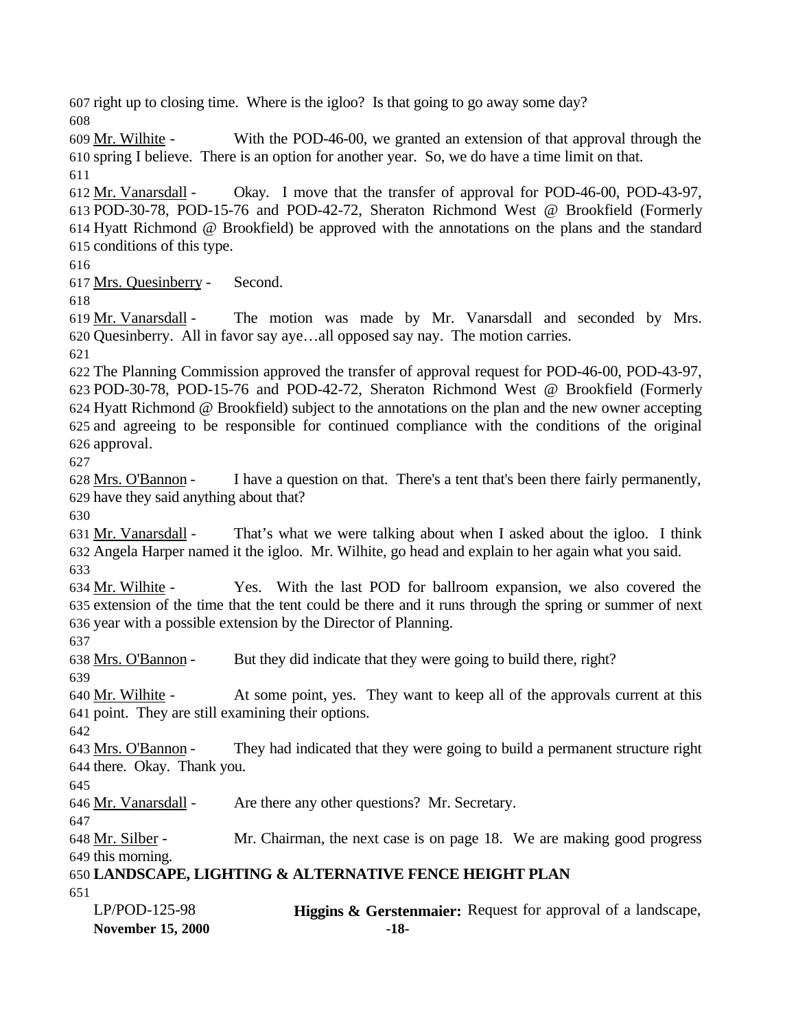right up to closing time. Where is the igloo? Is that going to go away some day? 

 Mr. Wilhite - With the POD-46-00, we granted an extension of that approval through the spring I believe. There is an option for another year. So, we do have a time limit on that. 

 Mr. Vanarsdall - Okay. I move that the transfer of approval for POD-46-00, POD-43-97, POD-30-78, POD-15-76 and POD-42-72, Sheraton Richmond West @ Brookfield (Formerly Hyatt Richmond @ Brookfield) be approved with the annotations on the plans and the standard conditions of this type.

Mrs. Quesinberry - Second.

619 Mr. Vanarsdall - The motion was made by Mr. Vanarsdall and seconded by Mrs. Quesinberry. All in favor say aye…all opposed say nay. The motion carries.

 The Planning Commission approved the transfer of approval request for POD-46-00, POD-43-97, POD-30-78, POD-15-76 and POD-42-72, Sheraton Richmond West @ Brookfield (Formerly Hyatt Richmond @ Brookfield) subject to the annotations on the plan and the new owner accepting and agreeing to be responsible for continued compliance with the conditions of the original approval.

 Mrs. O'Bannon - I have a question on that. There's a tent that's been there fairly permanently, have they said anything about that?

631 Mr. Vanarsdall - That's what we were talking about when I asked about the igloo. I think Angela Harper named it the igloo. Mr. Wilhite, go head and explain to her again what you said. 

 Mr. Wilhite - Yes. With the last POD for ballroom expansion, we also covered the extension of the time that the tent could be there and it runs through the spring or summer of next year with a possible extension by the Director of Planning.

Mrs. O'Bannon - But they did indicate that they were going to build there, right?

 Mr. Wilhite - At some point, yes. They want to keep all of the approvals current at this point. They are still examining their options.

 Mrs. O'Bannon - They had indicated that they were going to build a permanent structure right there. Okay. Thank you.

Mr. Vanarsdall - Are there any other questions? Mr. Secretary.

 Mr. Silber - Mr. Chairman, the next case is on page 18. We are making good progress this morning.

# **LANDSCAPE, LIGHTING & ALTERNATIVE FENCE HEIGHT PLAN**

| LP/POD-125-98            | <b>Higgins &amp; Gerstenmaier:</b> Request for approval of a landscape, |
|--------------------------|-------------------------------------------------------------------------|
| <b>November 15, 2000</b> | -18-                                                                    |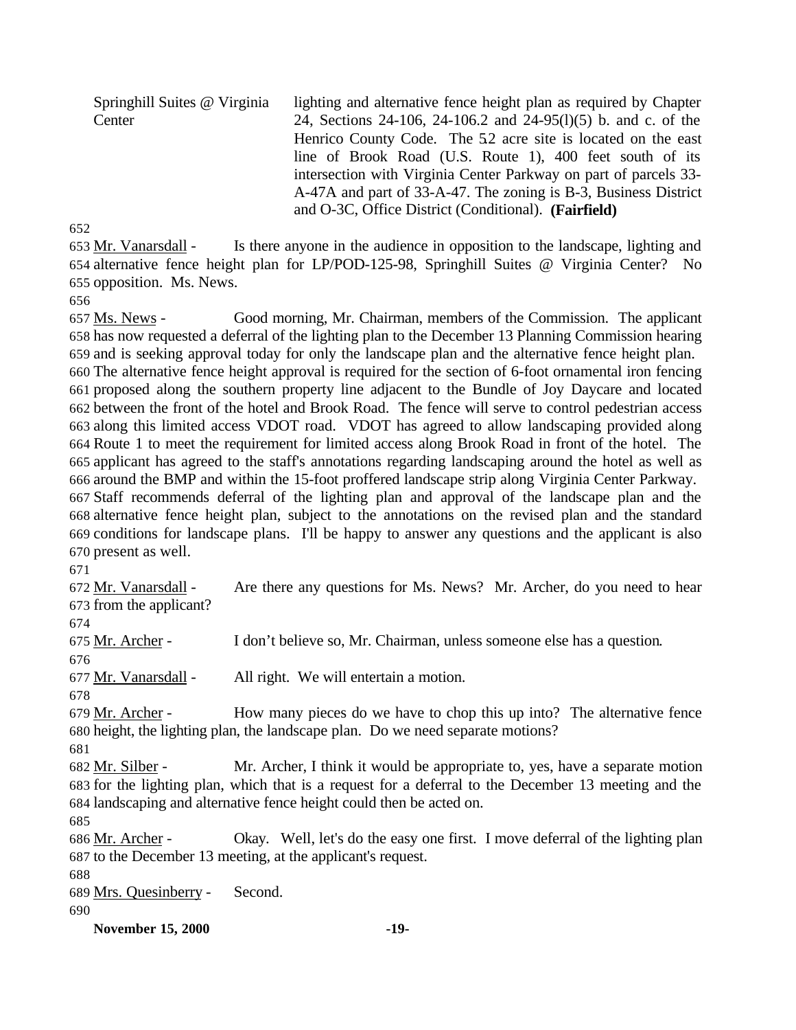Springhill Suites @ Virginia **Center** lighting and alternative fence height plan as required by Chapter 24, Sections 24-106, 24-106.2 and 24-95(l)(5) b. and c. of the Henrico County Code. The 5.2 acre site is located on the east line of Brook Road (U.S. Route 1), 400 feet south of its intersection with Virginia Center Parkway on part of parcels 33- A-47A and part of 33-A-47. The zoning is B-3, Business District and O-3C, Office District (Conditional). **(Fairfield)** 

 Mr. Vanarsdall - Is there anyone in the audience in opposition to the landscape, lighting and alternative fence height plan for LP/POD-125-98, Springhill Suites @ Virginia Center? No opposition. Ms. News.

 Ms. News - Good morning, Mr. Chairman, members of the Commission. The applicant has now requested a deferral of the lighting plan to the December 13 Planning Commission hearing and is seeking approval today for only the landscape plan and the alternative fence height plan. The alternative fence height approval is required for the section of 6-foot ornamental iron fencing proposed along the southern property line adjacent to the Bundle of Joy Daycare and located between the front of the hotel and Brook Road. The fence will serve to control pedestrian access along this limited access VDOT road. VDOT has agreed to allow landscaping provided along Route 1 to meet the requirement for limited access along Brook Road in front of the hotel. The applicant has agreed to the staff's annotations regarding landscaping around the hotel as well as around the BMP and within the 15-foot proffered landscape strip along Virginia Center Parkway. Staff recommends deferral of the lighting plan and approval of the landscape plan and the alternative fence height plan, subject to the annotations on the revised plan and the standard conditions for landscape plans. I'll be happy to answer any questions and the applicant is also present as well.

672 Mr. Vanarsdall - Are there any questions for Ms. News? Mr. Archer, do you need to hear from the applicant? Mr. Archer - I don't believe so, Mr. Chairman, unless someone else has a question.

677 Mr. Vanarsdall - All right. We will entertain a motion.

679 Mr. Archer - How many pieces do we have to chop this up into? The alternative fence height, the lighting plan, the landscape plan. Do we need separate motions?

 Mr. Silber - Mr. Archer, I think it would be appropriate to, yes, have a separate motion for the lighting plan, which that is a request for a deferral to the December 13 meeting and the landscaping and alternative fence height could then be acted on.

 Mr. Archer - Okay. Well, let's do the easy one first. I move deferral of the lighting plan to the December 13 meeting, at the applicant's request.

Mrs. Quesinberry - Second.

**November 15, 2000 -19-**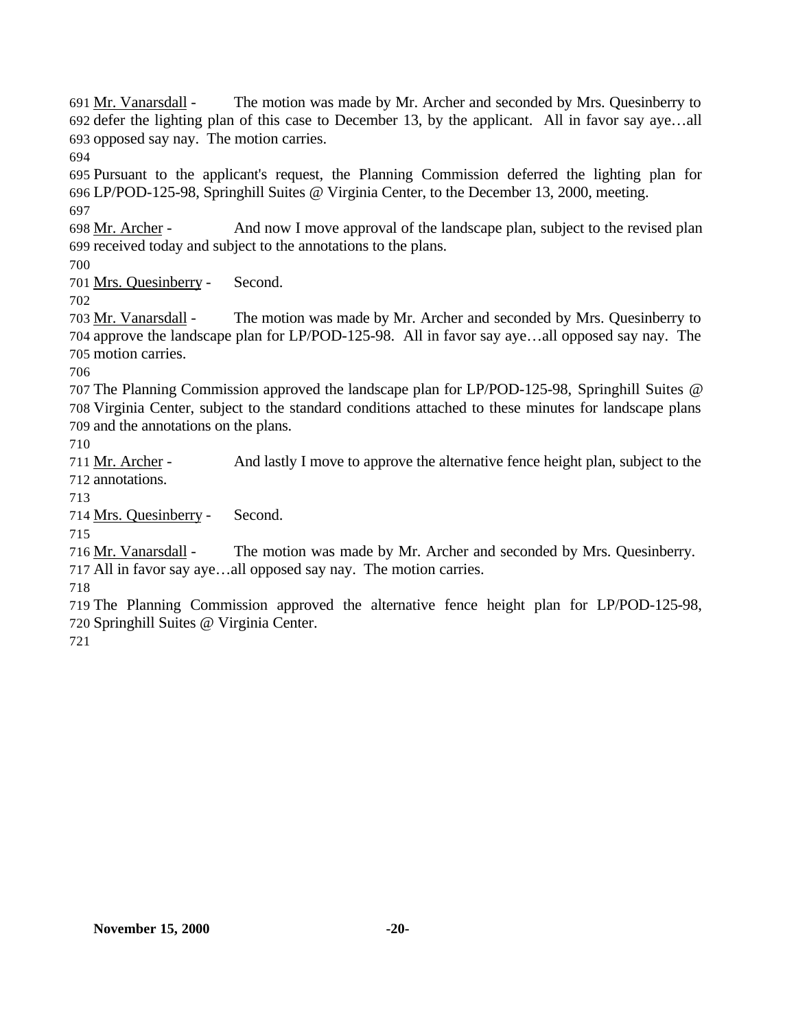Mr. Vanarsdall - The motion was made by Mr. Archer and seconded by Mrs. Quesinberry to defer the lighting plan of this case to December 13, by the applicant. All in favor say aye…all opposed say nay. The motion carries.

 Pursuant to the applicant's request, the Planning Commission deferred the lighting plan for LP/POD-125-98, Springhill Suites @ Virginia Center, to the December 13, 2000, meeting. 

 Mr. Archer - And now I move approval of the landscape plan, subject to the revised plan received today and subject to the annotations to the plans.

Mrs. Quesinberry - Second.

 Mr. Vanarsdall - The motion was made by Mr. Archer and seconded by Mrs. Quesinberry to approve the landscape plan for LP/POD-125-98. All in favor say aye…all opposed say nay. The motion carries.

 The Planning Commission approved the landscape plan for LP/POD-125-98, Springhill Suites @ Virginia Center, subject to the standard conditions attached to these minutes for landscape plans and the annotations on the plans.

 Mr. Archer - And lastly I move to approve the alternative fence height plan, subject to the annotations.

Mrs. Quesinberry - Second.

 Mr. Vanarsdall - The motion was made by Mr. Archer and seconded by Mrs. Quesinberry. All in favor say aye…all opposed say nay. The motion carries.

 The Planning Commission approved the alternative fence height plan for LP/POD-125-98, Springhill Suites @ Virginia Center.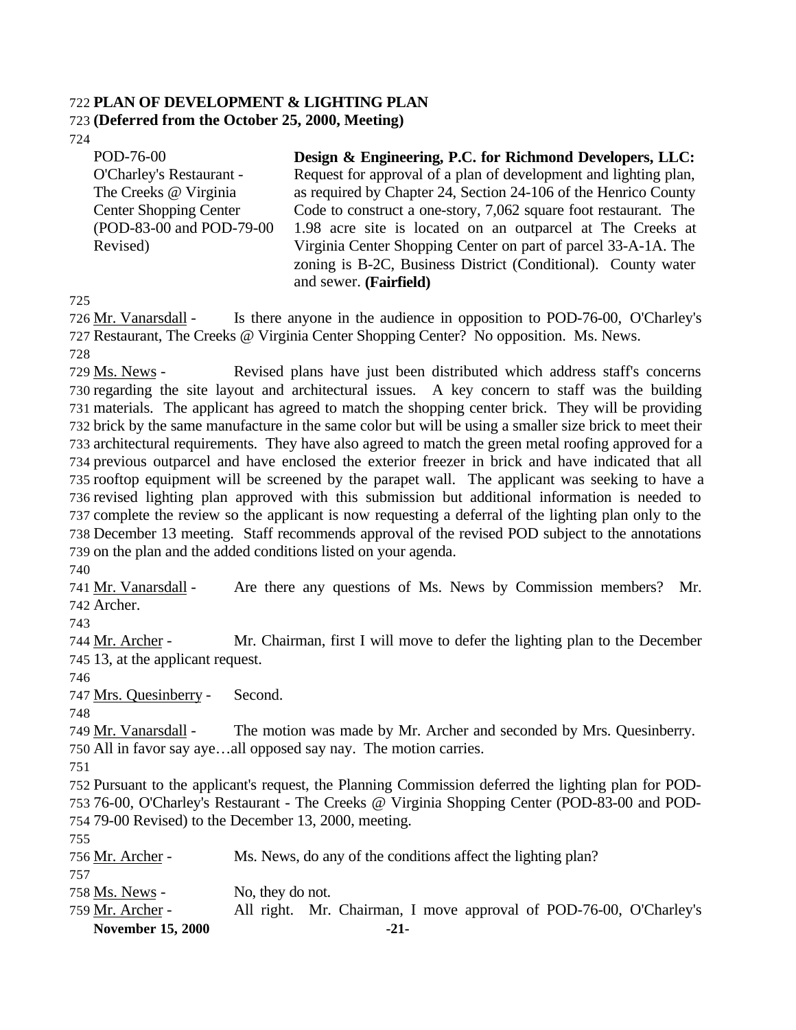#### **PLAN OF DEVELOPMENT & LIGHTING PLAN**

#### **(Deferred from the October 25, 2000, Meeting)**

POD-76-00 O'Charley's Restaurant - The Creeks @ Virginia Center Shopping Center (POD-83-00 and POD-79-00 Revised) **Design & Engineering, P.C. for Richmond Developers, LLC:** Request for approval of a plan of development and lighting plan, as required by Chapter 24, Section 24-106 of the Henrico County Code to construct a one-story, 7,062 square foot restaurant. The 1.98 acre site is located on an outparcel at The Creeks at Virginia Center Shopping Center on part of parcel 33-A-1A. The zoning is B-2C, Business District (Conditional). County water and sewer. **(Fairfield)**

 Mr. Vanarsdall - Is there anyone in the audience in opposition to POD-76-00, O'Charley's Restaurant, The Creeks @ Virginia Center Shopping Center? No opposition. Ms. News. 

 Ms. News - Revised plans have just been distributed which address staff's concerns regarding the site layout and architectural issues. A key concern to staff was the building materials. The applicant has agreed to match the shopping center brick. They will be providing brick by the same manufacture in the same color but will be using a smaller size brick to meet their architectural requirements. They have also agreed to match the green metal roofing approved for a previous outparcel and have enclosed the exterior freezer in brick and have indicated that all rooftop equipment will be screened by the parapet wall. The applicant was seeking to have a revised lighting plan approved with this submission but additional information is needed to complete the review so the applicant is now requesting a deferral of the lighting plan only to the December 13 meeting. Staff recommends approval of the revised POD subject to the annotations on the plan and the added conditions listed on your agenda.

 Mr. Vanarsdall - Are there any questions of Ms. News by Commission members? Mr. Archer.

 Mr. Archer - Mr. Chairman, first I will move to defer the lighting plan to the December 13, at the applicant request.

Mrs. Quesinberry - Second.

 Mr. Vanarsdall - The motion was made by Mr. Archer and seconded by Mrs. Quesinberry. All in favor say aye…all opposed say nay. The motion carries.

 Pursuant to the applicant's request, the Planning Commission deferred the lighting plan for POD- 76-00, O'Charley's Restaurant - The Creeks @ Virginia Shopping Center (POD-83-00 and POD-79-00 Revised) to the December 13, 2000, meeting.

| <b>November 15, 2000</b> | $-21-$                                                             |
|--------------------------|--------------------------------------------------------------------|
| 759 Mr. Archer -         | All right. Mr. Chairman, I move approval of POD-76-00, O'Charley's |
| 758 Ms. News -           | No, they do not.                                                   |
| 757                      |                                                                    |
| 756 Mr. Archer -         | Ms. News, do any of the conditions affect the lighting plan?       |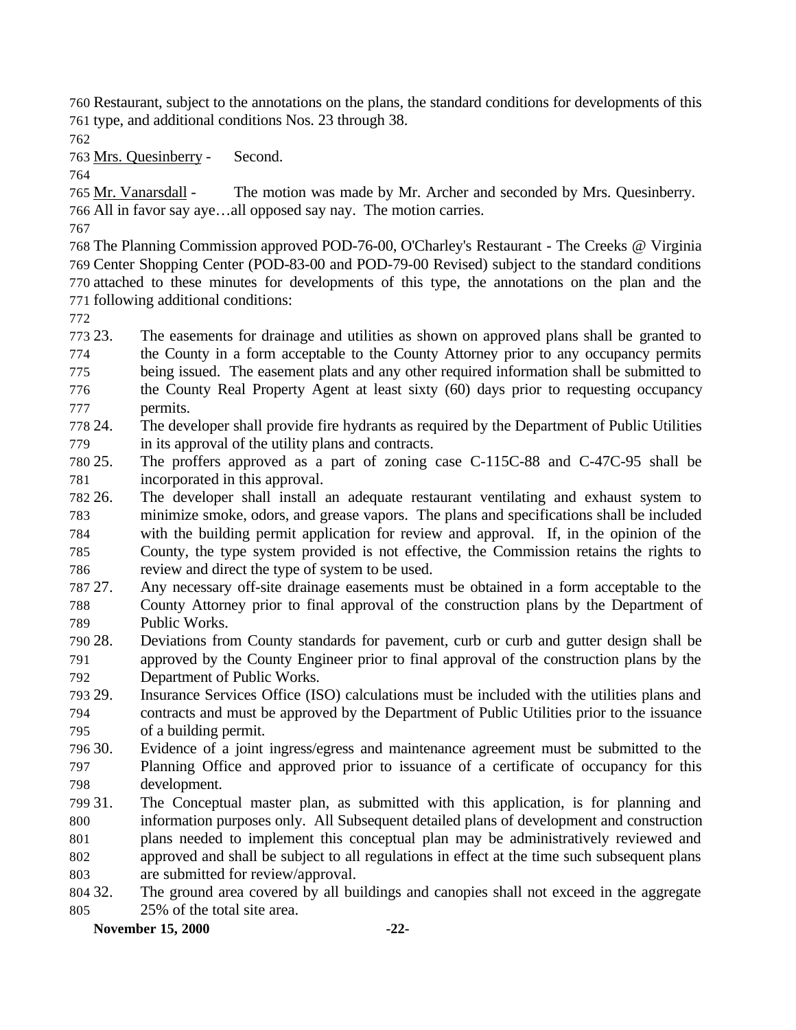Restaurant, subject to the annotations on the plans, the standard conditions for developments of this type, and additional conditions Nos. 23 through 38.

Mrs. Quesinberry - Second.

 Mr. Vanarsdall - The motion was made by Mr. Archer and seconded by Mrs. Quesinberry. All in favor say aye…all opposed say nay. The motion carries.

 The Planning Commission approved POD-76-00, O'Charley's Restaurant - The Creeks @ Virginia Center Shopping Center (POD-83-00 and POD-79-00 Revised) subject to the standard conditions attached to these minutes for developments of this type, the annotations on the plan and the following additional conditions:

 23. The easements for drainage and utilities as shown on approved plans shall be granted to the County in a form acceptable to the County Attorney prior to any occupancy permits being issued. The easement plats and any other required information shall be submitted to the County Real Property Agent at least sixty (60) days prior to requesting occupancy permits.

 24. The developer shall provide fire hydrants as required by the Department of Public Utilities in its approval of the utility plans and contracts.

 25. The proffers approved as a part of zoning case C-115C-88 and C-47C-95 shall be incorporated in this approval.

 26. The developer shall install an adequate restaurant ventilating and exhaust system to minimize smoke, odors, and grease vapors. The plans and specifications shall be included with the building permit application for review and approval. If, in the opinion of the County, the type system provided is not effective, the Commission retains the rights to review and direct the type of system to be used.

 27. Any necessary off-site drainage easements must be obtained in a form acceptable to the County Attorney prior to final approval of the construction plans by the Department of Public Works.

 28. Deviations from County standards for pavement, curb or curb and gutter design shall be approved by the County Engineer prior to final approval of the construction plans by the Department of Public Works.

 29. Insurance Services Office (ISO) calculations must be included with the utilities plans and contracts and must be approved by the Department of Public Utilities prior to the issuance of a building permit.

 30. Evidence of a joint ingress/egress and maintenance agreement must be submitted to the Planning Office and approved prior to issuance of a certificate of occupancy for this development.

 31. The Conceptual master plan, as submitted with this application, is for planning and information purposes only. All Subsequent detailed plans of development and construction plans needed to implement this conceptual plan may be administratively reviewed and approved and shall be subject to all regulations in effect at the time such subsequent plans are submitted for review/approval.

 32. The ground area covered by all buildings and canopies shall not exceed in the aggregate 25% of the total site area.

**November 15, 2000 -22-**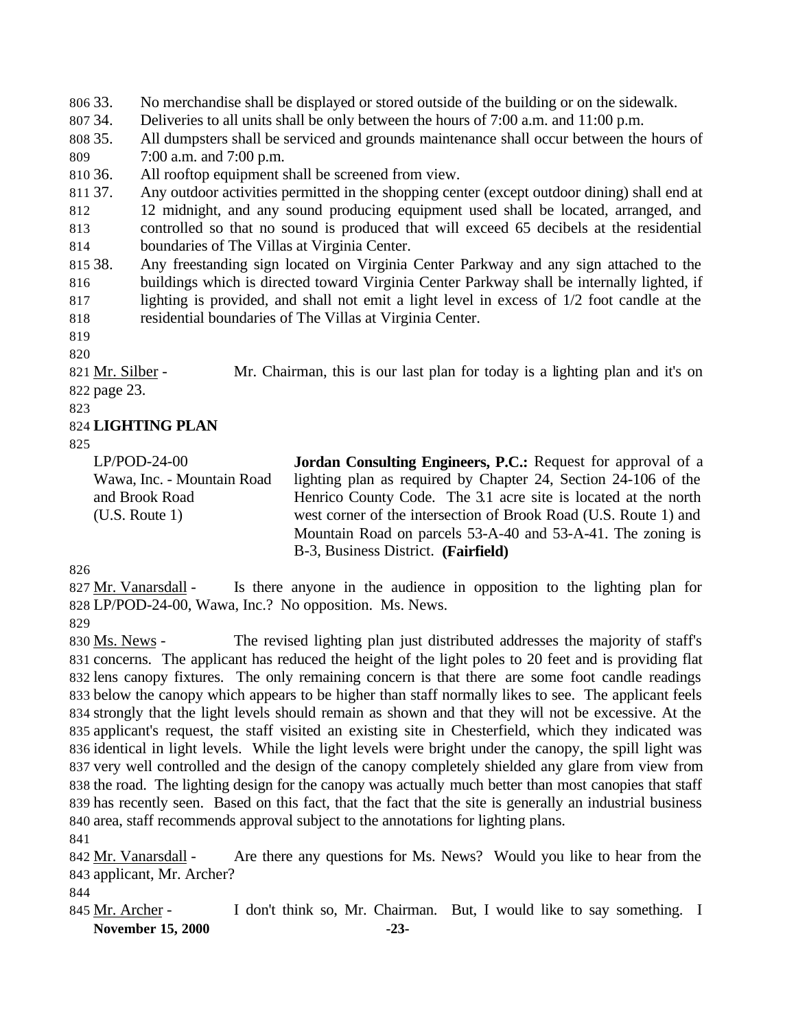33. No merchandise shall be displayed or stored outside of the building or on the sidewalk.

- 34. Deliveries to all units shall be only between the hours of 7:00 a.m. and 11:00 p.m.
- 35. All dumpsters shall be serviced and grounds maintenance shall occur between the hours of 7:00 a.m. and 7:00 p.m.
- 36. All rooftop equipment shall be screened from view.

37. Any outdoor activities permitted in the shopping center (except outdoor dining) shall end at

 12 midnight, and any sound producing equipment used shall be located, arranged, and controlled so that no sound is produced that will exceed 65 decibels at the residential

- boundaries of The Villas at Virginia Center.
- 38. Any freestanding sign located on Virginia Center Parkway and any sign attached to the buildings which is directed toward Virginia Center Parkway shall be internally lighted, if lighting is provided, and shall not emit a light level in excess of 1/2 foot candle at the residential boundaries of The Villas at Virginia Center.

 Mr. Silber - Mr. Chairman, this is our last plan for today is a lighting plan and it's on page 23.

#### **LIGHTING PLAN**

LP/POD-24-00 Wawa, Inc. - Mountain Road and Brook Road (U.S. Route 1) **Jordan Consulting Engineers, P.C.:** Request for approval of a lighting plan as required by Chapter 24, Section 24-106 of the Henrico County Code. The 3.1 acre site is located at the north west corner of the intersection of Brook Road (U.S. Route 1) and Mountain Road on parcels 53-A-40 and 53-A-41. The zoning is B-3, Business District. **(Fairfield)** 

 Mr. Vanarsdall - Is there anyone in the audience in opposition to the lighting plan for LP/POD-24-00, Wawa, Inc.? No opposition. Ms. News. 

 Ms. News - The revised lighting plan just distributed addresses the majority of staff's concerns. The applicant has reduced the height of the light poles to 20 feet and is providing flat lens canopy fixtures. The only remaining concern is that there are some foot candle readings below the canopy which appears to be higher than staff normally likes to see. The applicant feels strongly that the light levels should remain as shown and that they will not be excessive. At the applicant's request, the staff visited an existing site in Chesterfield, which they indicated was identical in light levels. While the light levels were bright under the canopy, the spill light was very well controlled and the design of the canopy completely shielded any glare from view from the road. The lighting design for the canopy was actually much better than most canopies that staff has recently seen. Based on this fact, that the fact that the site is generally an industrial business area, staff recommends approval subject to the annotations for lighting plans.

842 Mr. Vanarsdall - Are there any questions for Ms. News? Would you like to hear from the applicant, Mr. Archer?

**November 15, 2000 -23-** Mr. Archer - I don't think so, Mr. Chairman. But, I would like to say something. I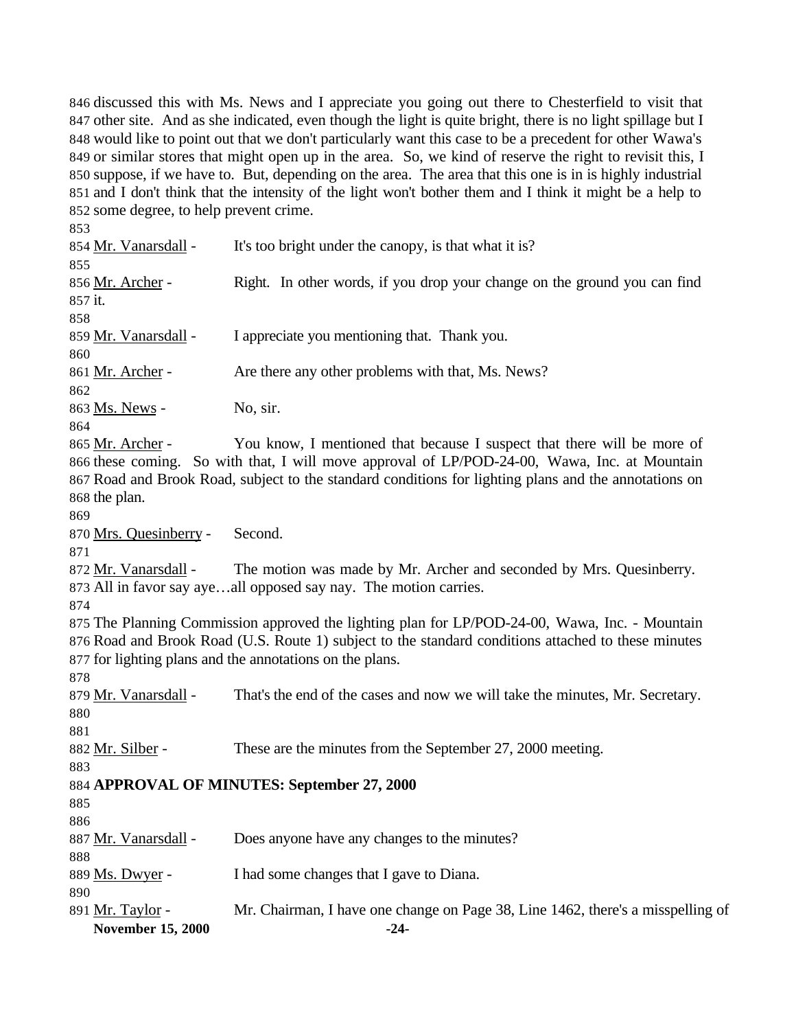discussed this with Ms. News and I appreciate you going out there to Chesterfield to visit that other site. And as she indicated, even though the light is quite bright, there is no light spillage but I would like to point out that we don't particularly want this case to be a precedent for other Wawa's or similar stores that might open up in the area. So, we kind of reserve the right to revisit this, I suppose, if we have to. But, depending on the area. The area that this one is in is highly industrial and I don't think that the intensity of the light won't bother them and I think it might be a help to some degree, to help prevent crime.

**November 15, 2000 -24-** Mr. Vanarsdall - It's too bright under the canopy, is that what it is? Mr. Archer - Right. In other words, if you drop your change on the ground you can find it. 859 Mr. Vanarsdall - I appreciate you mentioning that. Thank you. 861 Mr. Archer - Are there any other problems with that, Ms. News? 863 <u>Ms. News</u> - No, sir. 865 Mr. Archer - You know, I mentioned that because I suspect that there will be more of these coming. So with that, I will move approval of LP/POD-24-00, Wawa, Inc. at Mountain Road and Brook Road, subject to the standard conditions for lighting plans and the annotations on the plan. Mrs. Quesinberry - Second. Mr. Vanarsdall - The motion was made by Mr. Archer and seconded by Mrs. Quesinberry. All in favor say aye…all opposed say nay. The motion carries. The Planning Commission approved the lighting plan for LP/POD-24-00, Wawa, Inc. - Mountain Road and Brook Road (U.S. Route 1) subject to the standard conditions attached to these minutes for lighting plans and the annotations on the plans. Mr. Vanarsdall - That's the end of the cases and now we will take the minutes, Mr. Secretary. 882 Mr. Silber - These are the minutes from the September 27, 2000 meeting. **APPROVAL OF MINUTES: September 27, 2000** 887 Mr. Vanarsdall - Does anyone have any changes to the minutes? Ms. Dwyer - I had some changes that I gave to Diana. Mr. Taylor - Mr. Chairman, I have one change on Page 38, Line 1462, there's a misspelling of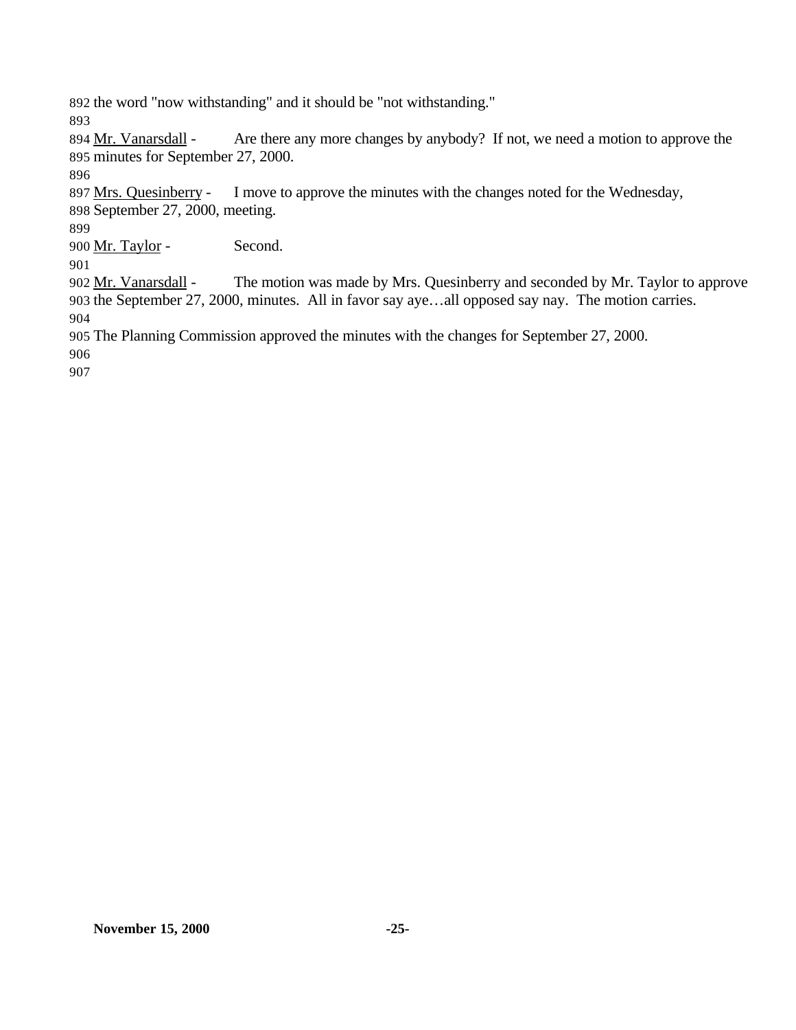the word "now withstanding" and it should be "not withstanding."

894 Mr. Vanarsdall - Are there any more changes by anybody? If not, we need a motion to approve the minutes for September 27, 2000.

897 Mrs. Quesinberry - I move to approve the minutes with the changes noted for the Wednesday, September 27, 2000, meeting.

900 Mr. Taylor - Second.

 Mr. Vanarsdall - The motion was made by Mrs. Quesinberry and seconded by Mr. Taylor to approve the September 27, 2000, minutes. All in favor say aye…all opposed say nay. The motion carries. 

The Planning Commission approved the minutes with the changes for September 27, 2000.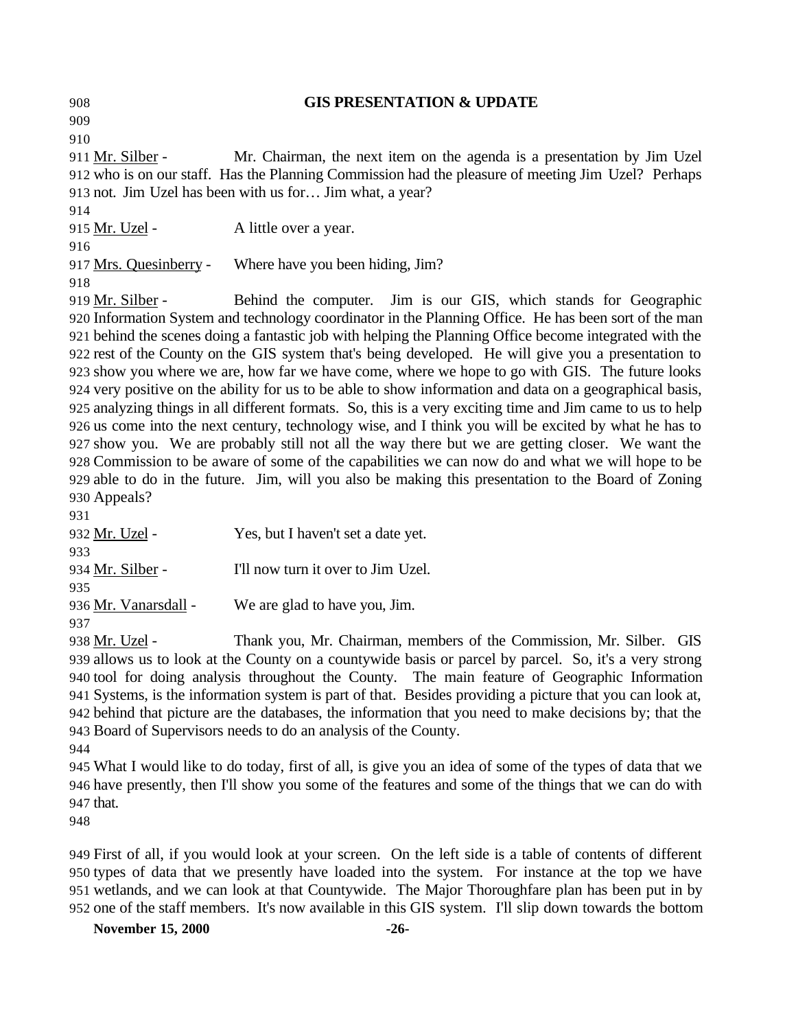**GIS PRESENTATION & UPDATE** Mr. Silber - Mr. Chairman, the next item on the agenda is a presentation by Jim Uzel who is on our staff. Has the Planning Commission had the pleasure of meeting Jim Uzel? Perhaps not. Jim Uzel has been with us for… Jim what, a year? 915 Mr. Uzel - A little over a year. 917 Mrs. Quesinberry - Where have you been hiding, Jim? 919 Mr. Silber - Behind the computer. Jim is our GIS, which stands for Geographic Information System and technology coordinator in the Planning Office. He has been sort of the man

 behind the scenes doing a fantastic job with helping the Planning Office become integrated with the rest of the County on the GIS system that's being developed. He will give you a presentation to show you where we are, how far we have come, where we hope to go with GIS. The future looks very positive on the ability for us to be able to show information and data on a geographical basis, analyzing things in all different formats. So, this is a very exciting time and Jim came to us to help us come into the next century, technology wise, and I think you will be excited by what he has to show you. We are probably still not all the way there but we are getting closer. We want the Commission to be aware of some of the capabilities we can now do and what we will hope to be able to do in the future. Jim, will you also be making this presentation to the Board of Zoning Appeals?

| 931                  |                                    |
|----------------------|------------------------------------|
| 932 Mr. Uzel -       | Yes, but I haven't set a date yet. |
| 933                  |                                    |
| 934 Mr. Silber -     | I'll now turn it over to Jim Uzel. |
| 935                  |                                    |
| 936 Mr. Vanarsdall - | We are glad to have you, Jim.      |
| 937                  |                                    |

 Mr. Uzel - Thank you, Mr. Chairman, members of the Commission, Mr. Silber. GIS allows us to look at the County on a countywide basis or parcel by parcel. So, it's a very strong tool for doing analysis throughout the County. The main feature of Geographic Information Systems, is the information system is part of that. Besides providing a picture that you can look at, behind that picture are the databases, the information that you need to make decisions by; that the Board of Supervisors needs to do an analysis of the County.

 What I would like to do today, first of all, is give you an idea of some of the types of data that we have presently, then I'll show you some of the features and some of the things that we can do with that.

 First of all, if you would look at your screen. On the left side is a table of contents of different types of data that we presently have loaded into the system. For instance at the top we have wetlands, and we can look at that Countywide. The Major Thoroughfare plan has been put in by one of the staff members. It's now available in this GIS system. I'll slip down towards the bottom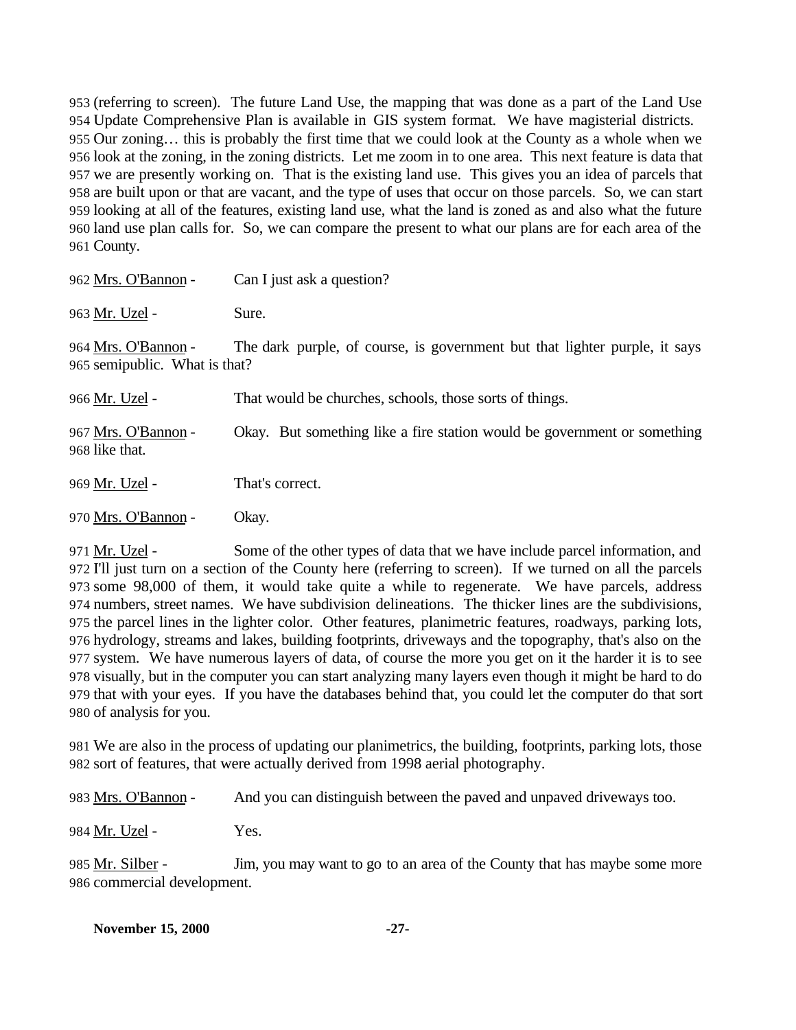(referring to screen). The future Land Use, the mapping that was done as a part of the Land Use Update Comprehensive Plan is available in GIS system format. We have magisterial districts. Our zoning… this is probably the first time that we could look at the County as a whole when we look at the zoning, in the zoning districts. Let me zoom in to one area. This next feature is data that we are presently working on. That is the existing land use. This gives you an idea of parcels that are built upon or that are vacant, and the type of uses that occur on those parcels. So, we can start looking at all of the features, existing land use, what the land is zoned as and also what the future land use plan calls for. So, we can compare the present to what our plans are for each area of the County.

| 962 Mrs. O'Bannon -                                  | Can I just ask a question?                                                 |
|------------------------------------------------------|----------------------------------------------------------------------------|
| 963 Mr. Uzel -                                       | Sure.                                                                      |
| 964 Mrs. O'Bannon -<br>965 semipublic. What is that? | The dark purple, of course, is government but that lighter purple, it says |
| 966 Mr. Uzel -                                       | That would be churches, schools, those sorts of things.                    |
| 967 Mrs. O'Bannon -<br>968 like that.                | Okay. But something like a fire station would be government or something   |
| 969 Mr. Uzel -                                       | That's correct.                                                            |
| 970 Mrs. O'Bannon -                                  | Okay.                                                                      |

971 Mr. Uzel - Some of the other types of data that we have include parcel information, and I'll just turn on a section of the County here (referring to screen). If we turned on all the parcels some 98,000 of them, it would take quite a while to regenerate. We have parcels, address numbers, street names. We have subdivision delineations. The thicker lines are the subdivisions, the parcel lines in the lighter color. Other features, planimetric features, roadways, parking lots, hydrology, streams and lakes, building footprints, driveways and the topography, that's also on the system. We have numerous layers of data, of course the more you get on it the harder it is to see visually, but in the computer you can start analyzing many layers even though it might be hard to do that with your eyes. If you have the databases behind that, you could let the computer do that sort of analysis for you.

 We are also in the process of updating our planimetrics, the building, footprints, parking lots, those sort of features, that were actually derived from 1998 aerial photography.

Mrs. O'Bannon - And you can distinguish between the paved and unpaved driveways too.

984 Mr. Uzel - Yes.

985 Mr. Silber - Jim, you may want to go to an area of the County that has maybe some more commercial development.

| <b>November 15, 2000</b> |  | $-27-$ |
|--------------------------|--|--------|
|--------------------------|--|--------|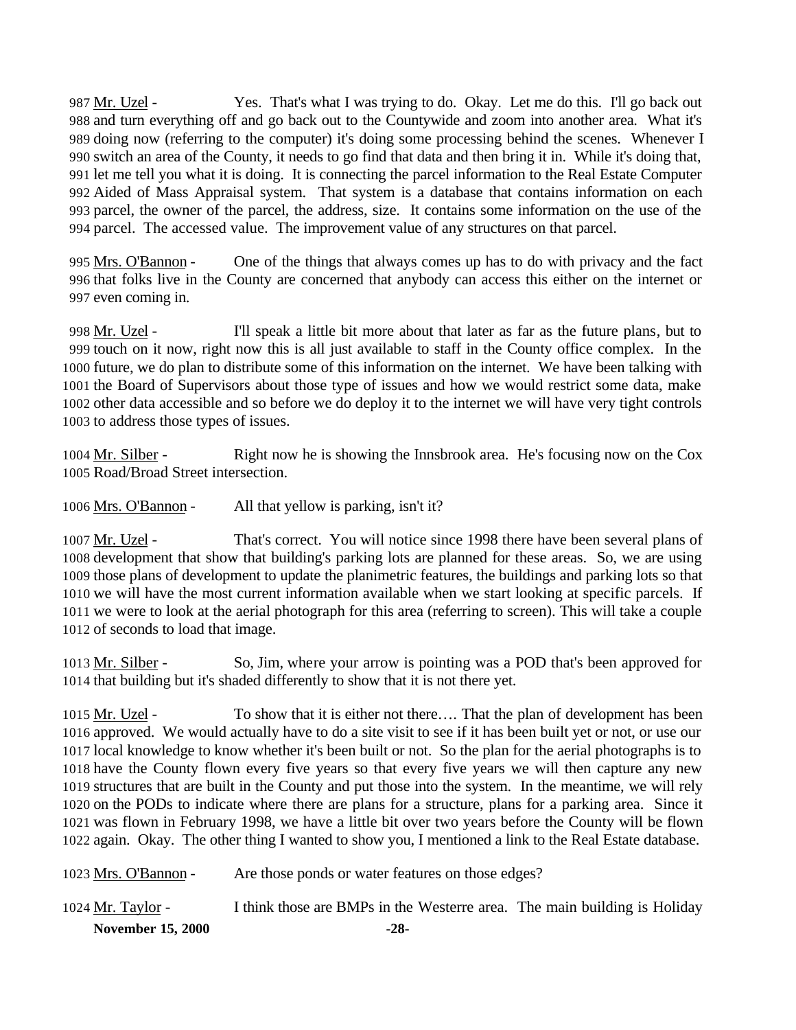Mr. Uzel - Yes. That's what I was trying to do. Okay. Let me do this. I'll go back out and turn everything off and go back out to the Countywide and zoom into another area. What it's doing now (referring to the computer) it's doing some processing behind the scenes. Whenever I switch an area of the County, it needs to go find that data and then bring it in. While it's doing that, let me tell you what it is doing. It is connecting the parcel information to the Real Estate Computer Aided of Mass Appraisal system. That system is a database that contains information on each parcel, the owner of the parcel, the address, size. It contains some information on the use of the parcel. The accessed value. The improvement value of any structures on that parcel.

995 Mrs. O'Bannon - One of the things that always comes up has to do with privacy and the fact that folks live in the County are concerned that anybody can access this either on the internet or even coming in.

 Mr. Uzel - I'll speak a little bit more about that later as far as the future plans, but to touch on it now, right now this is all just available to staff in the County office complex. In the future, we do plan to distribute some of this information on the internet. We have been talking with the Board of Supervisors about those type of issues and how we would restrict some data, make other data accessible and so before we do deploy it to the internet we will have very tight controls to address those types of issues.

1004 Mr. Silber - Right now he is showing the Innsbrook area. He's focusing now on the Cox Road/Broad Street intersection.

Mrs. O'Bannon - All that yellow is parking, isn't it?

 Mr. Uzel - That's correct. You will notice since 1998 there have been several plans of development that show that building's parking lots are planned for these areas. So, we are using those plans of development to update the planimetric features, the buildings and parking lots so that we will have the most current information available when we start looking at specific parcels. If we were to look at the aerial photograph for this area (referring to screen). This will take a couple of seconds to load that image.

1013 Mr. Silber - So, Jim, where your arrow is pointing was a POD that's been approved for that building but it's shaded differently to show that it is not there yet.

1015 Mr. Uzel - To show that it is either not there.... That the plan of development has been approved. We would actually have to do a site visit to see if it has been built yet or not, or use our local knowledge to know whether it's been built or not. So the plan for the aerial photographs is to have the County flown every five years so that every five years we will then capture any new structures that are built in the County and put those into the system. In the meantime, we will rely on the PODs to indicate where there are plans for a structure, plans for a parking area. Since it was flown in February 1998, we have a little bit over two years before the County will be flown again. Okay. The other thing I wanted to show you, I mentioned a link to the Real Estate database.

| <b>November 15, 2000</b> | $-28-$                                                                    |  |
|--------------------------|---------------------------------------------------------------------------|--|
| $1024$ Mr. Taylor -      | I think those are BMPs in the Westerre area. The main building is Holiday |  |
| 1023 Mrs. O'Bannon -     | Are those ponds or water features on those edges?                         |  |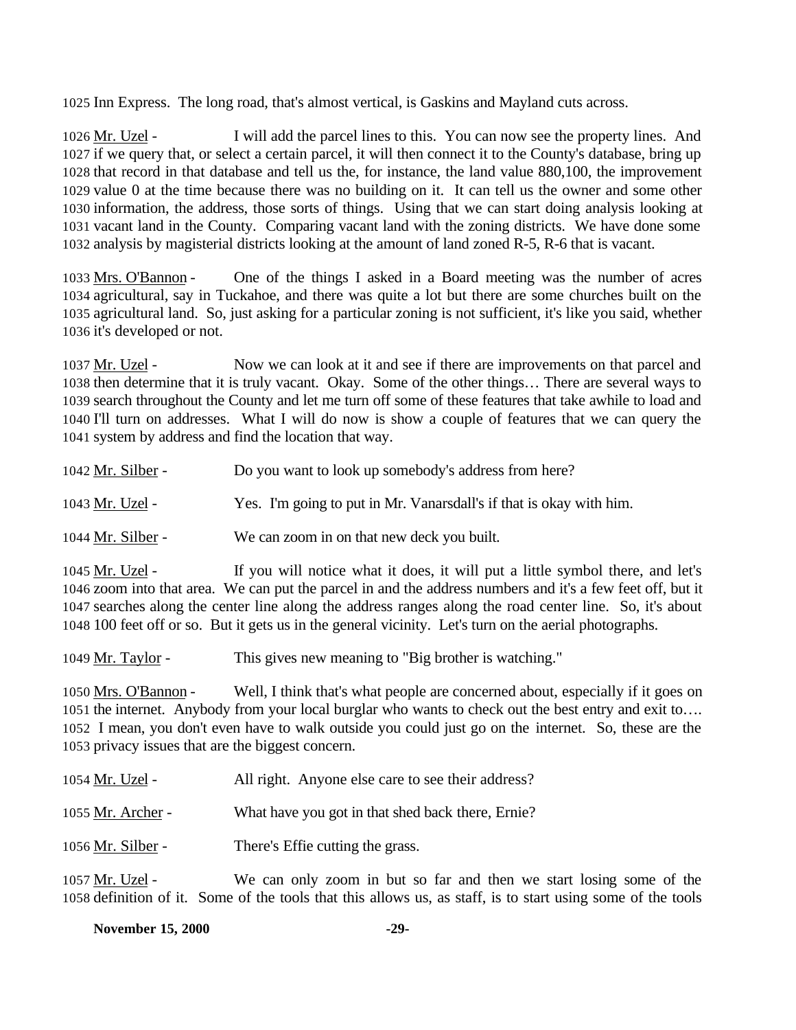Inn Express. The long road, that's almost vertical, is Gaskins and Mayland cuts across.

 Mr. Uzel - I will add the parcel lines to this. You can now see the property lines. And if we query that, or select a certain parcel, it will then connect it to the County's database, bring up that record in that database and tell us the, for instance, the land value 880,100, the improvement value 0 at the time because there was no building on it. It can tell us the owner and some other information, the address, those sorts of things. Using that we can start doing analysis looking at vacant land in the County. Comparing vacant land with the zoning districts. We have done some analysis by magisterial districts looking at the amount of land zoned R-5, R-6 that is vacant.

1033 Mrs. O'Bannon - One of the things I asked in a Board meeting was the number of acres agricultural, say in Tuckahoe, and there was quite a lot but there are some churches built on the agricultural land. So, just asking for a particular zoning is not sufficient, it's like you said, whether it's developed or not.

1037 Mr. Uzel - Now we can look at it and see if there are improvements on that parcel and then determine that it is truly vacant. Okay. Some of the other things… There are several ways to search throughout the County and let me turn off some of these features that take awhile to load and I'll turn on addresses. What I will do now is show a couple of features that we can query the system by address and find the location that way.

- 1042 <u>Mr. Silber</u> Do you want to look up somebody's address from here?
- Mr. Uzel Yes. I'm going to put in Mr. Vanarsdall's if that is okay with him.
- Mr. Silber We can zoom in on that new deck you built.

 Mr. Uzel - If you will notice what it does, it will put a little symbol there, and let's zoom into that area. We can put the parcel in and the address numbers and it's a few feet off, but it searches along the center line along the address ranges along the road center line. So, it's about 100 feet off or so. But it gets us in the general vicinity. Let's turn on the aerial photographs.

1049 Mr. Taylor - This gives new meaning to "Big brother is watching."

 Mrs. O'Bannon - Well, I think that's what people are concerned about, especially if it goes on the internet. Anybody from your local burglar who wants to check out the best entry and exit to…. I mean, you don't even have to walk outside you could just go on the internet. So, these are the privacy issues that are the biggest concern.

| 1054 Mr. Uzel - | All right. Anyone else care to see their address? |
|-----------------|---------------------------------------------------|
|-----------------|---------------------------------------------------|

Mr. Archer - What have you got in that shed back there, Ernie?

1056 Mr. Silber - There's Effie cutting the grass.

 Mr. Uzel - We can only zoom in but so far and then we start losing some of the definition of it. Some of the tools that this allows us, as staff, is to start using some of the tools

| <b>November 15, 2000</b> | -29- |
|--------------------------|------|
|                          |      |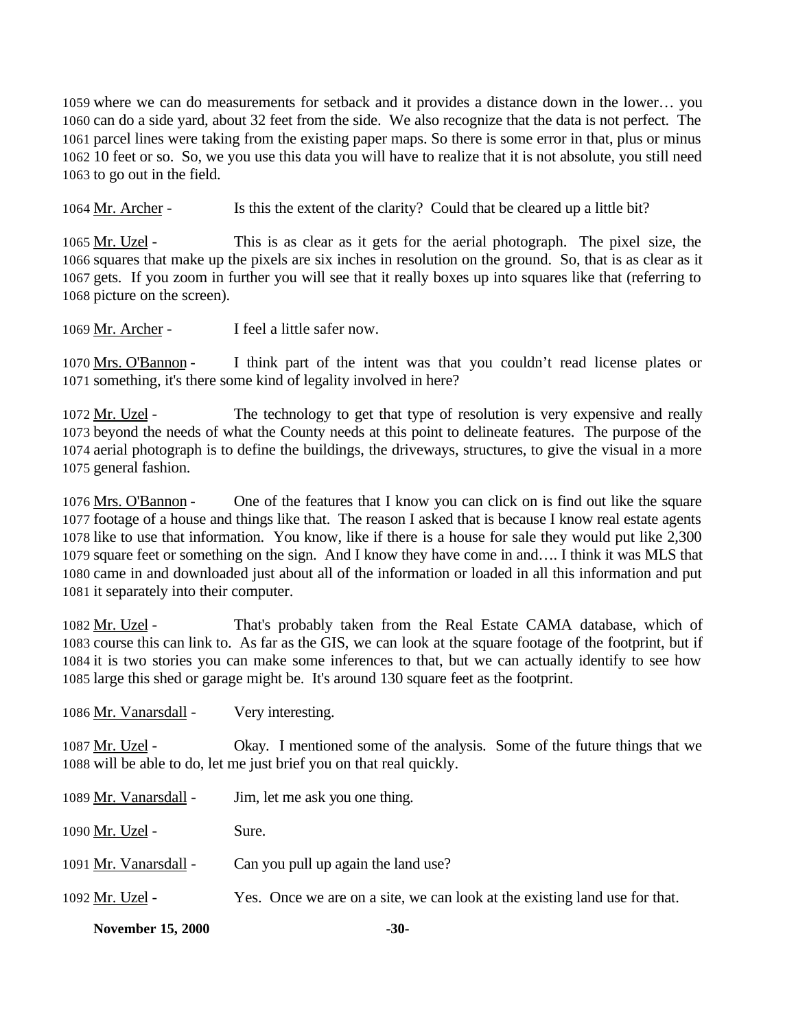where we can do measurements for setback and it provides a distance down in the lower… you can do a side yard, about 32 feet from the side. We also recognize that the data is not perfect. The parcel lines were taking from the existing paper maps. So there is some error in that, plus or minus 10 feet or so. So, we you use this data you will have to realize that it is not absolute, you still need to go out in the field.

Mr. Archer - Is this the extent of the clarity? Could that be cleared up a little bit?

1065 Mr. Uzel - This is as clear as it gets for the aerial photograph. The pixel size, the squares that make up the pixels are six inches in resolution on the ground. So, that is as clear as it gets. If you zoom in further you will see that it really boxes up into squares like that (referring to picture on the screen).

Mr. Archer - I feel a little safer now.

 Mrs. O'Bannon - I think part of the intent was that you couldn't read license plates or something, it's there some kind of legality involved in here?

1072 Mr. Uzel - The technology to get that type of resolution is very expensive and really beyond the needs of what the County needs at this point to delineate features. The purpose of the aerial photograph is to define the buildings, the driveways, structures, to give the visual in a more general fashion.

 Mrs. O'Bannon - One of the features that I know you can click on is find out like the square footage of a house and things like that. The reason I asked that is because I know real estate agents like to use that information. You know, like if there is a house for sale they would put like 2,300 square feet or something on the sign. And I know they have come in and…. I think it was MLS that came in and downloaded just about all of the information or loaded in all this information and put it separately into their computer.

 Mr. Uzel - That's probably taken from the Real Estate CAMA database, which of course this can link to. As far as the GIS, we can look at the square footage of the footprint, but if it is two stories you can make some inferences to that, but we can actually identify to see how large this shed or garage might be. It's around 130 square feet as the footprint.

1086 Mr. Vanarsdall - Very interesting.

 Mr. Uzel - Okay. I mentioned some of the analysis. Some of the future things that we will be able to do, let me just brief you on that real quickly.

| <b>November 15, 2000</b> | $-30-$                                                                     |
|--------------------------|----------------------------------------------------------------------------|
| 1092 Mr. Uzel -          | Yes. Once we are on a site, we can look at the existing land use for that. |
| 1091 Mr. Vanarsdall -    | Can you pull up again the land use?                                        |
| 1090 Mr. Uzel -          | Sure.                                                                      |
| 1089 Mr. Vanarsdall -    | Jim, let me ask you one thing.                                             |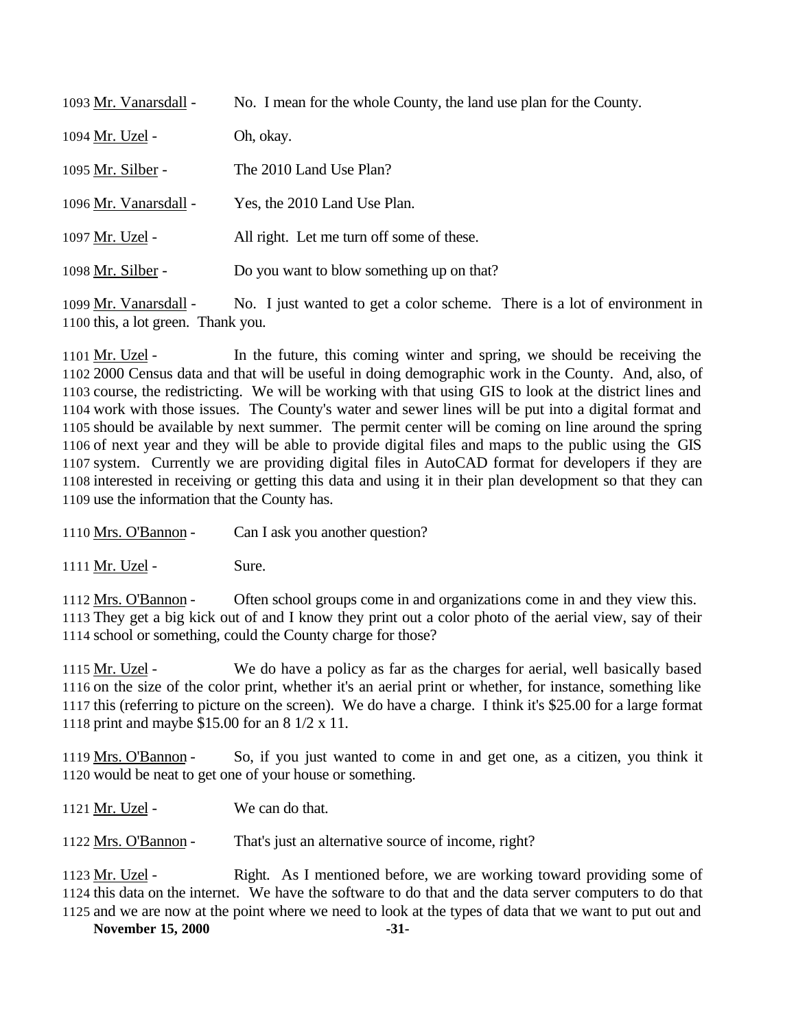| 1093 Mr. Vanarsdall - | No. I mean for the whole County, the land use plan for the County. |
|-----------------------|--------------------------------------------------------------------|
| 1094 Mr. Uzel -       | Oh, okay.                                                          |
| 1095 Mr. Silber -     | The 2010 Land Use Plan?                                            |
| 1096 Mr. Vanarsdall - | Yes, the 2010 Land Use Plan.                                       |
| 1097 Mr. Uzel -       | All right. Let me turn off some of these.                          |
| 1098 Mr. Silber -     | Do you want to blow something up on that?                          |

1099 Mr. Vanarsdall - No. I just wanted to get a color scheme. There is a lot of environment in this, a lot green. Thank you.

1101 Mr. Uzel - In the future, this coming winter and spring, we should be receiving the 2000 Census data and that will be useful in doing demographic work in the County. And, also, of course, the redistricting. We will be working with that using GIS to look at the district lines and work with those issues. The County's water and sewer lines will be put into a digital format and should be available by next summer. The permit center will be coming on line around the spring of next year and they will be able to provide digital files and maps to the public using the GIS system. Currently we are providing digital files in AutoCAD format for developers if they are interested in receiving or getting this data and using it in their plan development so that they can use the information that the County has.

1110 Mrs. O'Bannon - Can I ask you another question?

1111 Mr. Uzel - Sure.

1112 Mrs. O'Bannon - Often school groups come in and organizations come in and they view this. They get a big kick out of and I know they print out a color photo of the aerial view, say of their school or something, could the County charge for those?

1115 Mr. Uzel - We do have a policy as far as the charges for aerial, well basically based on the size of the color print, whether it's an aerial print or whether, for instance, something like this (referring to picture on the screen). We do have a charge. I think it's \$25.00 for a large format print and maybe \$15.00 for an 8 1/2 x 11.

 Mrs. O'Bannon - So, if you just wanted to come in and get one, as a citizen, you think it would be neat to get one of your house or something.

1121 Mr. Uzel - We can do that.

Mrs. O'Bannon - That's just an alternative source of income, right?

 Mr. Uzel - Right. As I mentioned before, we are working toward providing some of this data on the internet. We have the software to do that and the data server computers to do that and we are now at the point where we need to look at the types of data that we want to put out and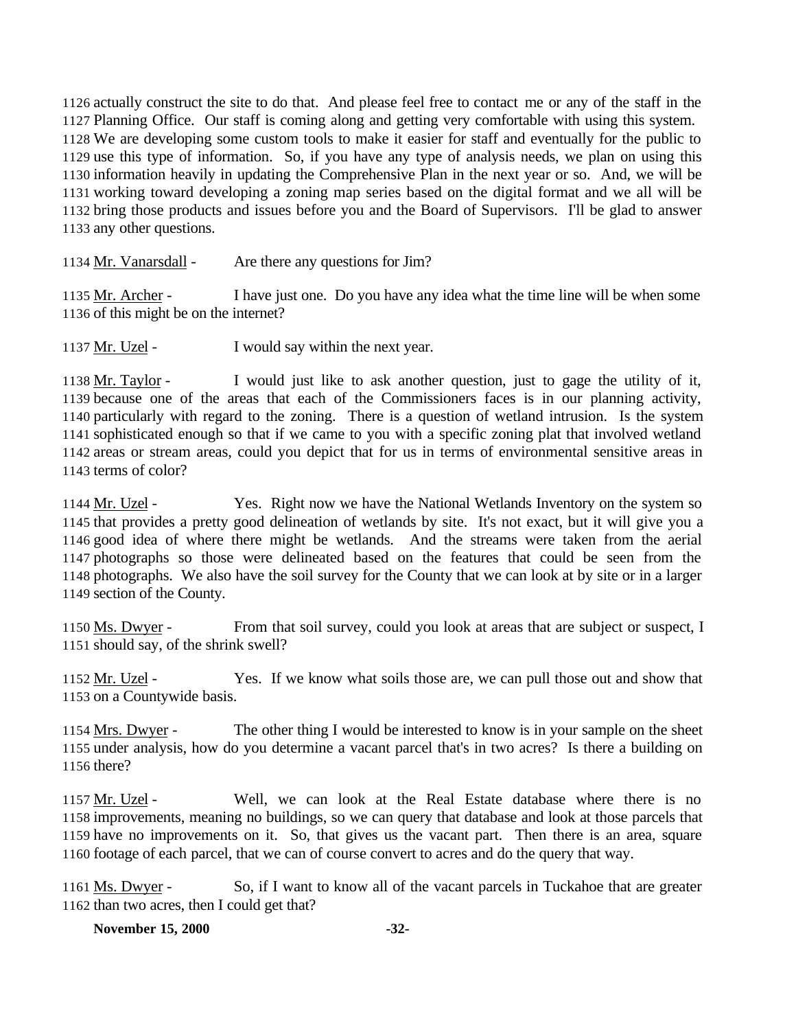actually construct the site to do that. And please feel free to contact me or any of the staff in the Planning Office. Our staff is coming along and getting very comfortable with using this system. We are developing some custom tools to make it easier for staff and eventually for the public to use this type of information. So, if you have any type of analysis needs, we plan on using this information heavily in updating the Comprehensive Plan in the next year or so. And, we will be working toward developing a zoning map series based on the digital format and we all will be bring those products and issues before you and the Board of Supervisors. I'll be glad to answer any other questions.

1134 Mr. Vanarsdall - Are there any questions for Jim?

 Mr. Archer - I have just one. Do you have any idea what the time line will be when some of this might be on the internet?

Mr. Uzel - I would say within the next year.

 Mr. Taylor - I would just like to ask another question, just to gage the utility of it, because one of the areas that each of the Commissioners faces is in our planning activity, particularly with regard to the zoning. There is a question of wetland intrusion. Is the system sophisticated enough so that if we came to you with a specific zoning plat that involved wetland areas or stream areas, could you depict that for us in terms of environmental sensitive areas in terms of color?

1144 Mr. Uzel - Yes. Right now we have the National Wetlands Inventory on the system so that provides a pretty good delineation of wetlands by site. It's not exact, but it will give you a good idea of where there might be wetlands. And the streams were taken from the aerial photographs so those were delineated based on the features that could be seen from the photographs. We also have the soil survey for the County that we can look at by site or in a larger section of the County.

1150 Ms. Dwyer - From that soil survey, could you look at areas that are subject or suspect, I should say, of the shrink swell?

1152 Mr. Uzel - Yes. If we know what soils those are, we can pull those out and show that on a Countywide basis.

 Mrs. Dwyer - The other thing I would be interested to know is in your sample on the sheet under analysis, how do you determine a vacant parcel that's in two acres? Is there a building on there?

 Mr. Uzel - Well, we can look at the Real Estate database where there is no improvements, meaning no buildings, so we can query that database and look at those parcels that have no improvements on it. So, that gives us the vacant part. Then there is an area, square footage of each parcel, that we can of course convert to acres and do the query that way.

 Ms. Dwyer - So, if I want to know all of the vacant parcels in Tuckahoe that are greater than two acres, then I could get that?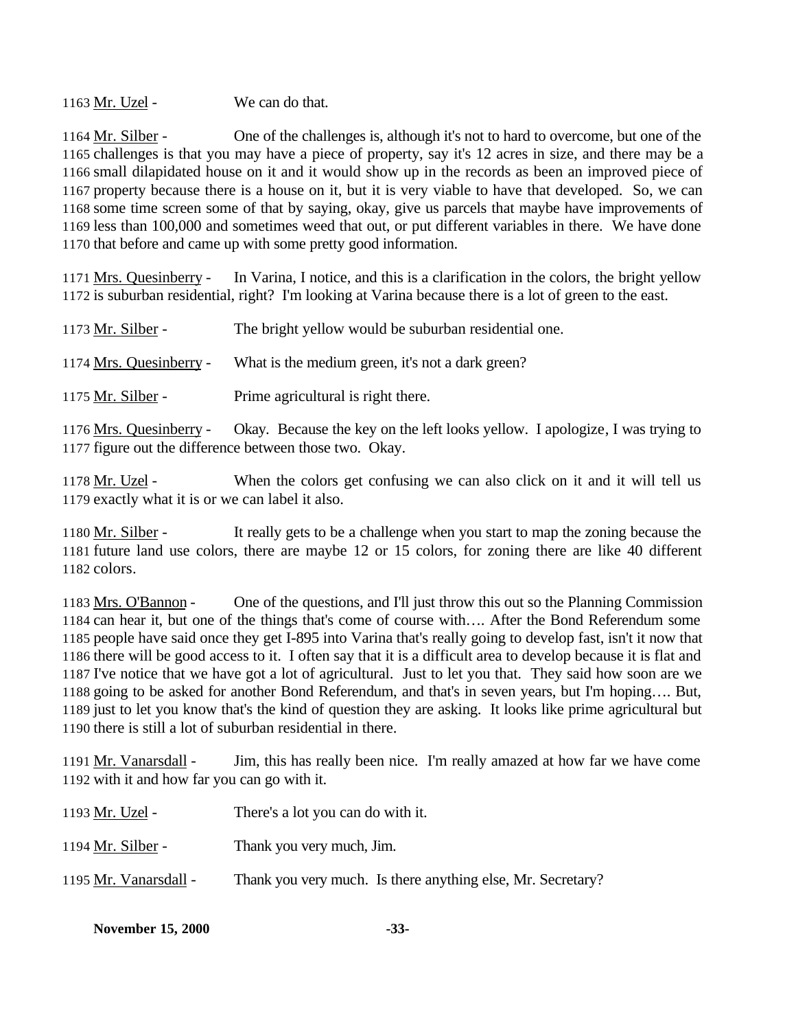1163 Mr. Uzel - We can do that.

 Mr. Silber - One of the challenges is, although it's not to hard to overcome, but one of the challenges is that you may have a piece of property, say it's 12 acres in size, and there may be a small dilapidated house on it and it would show up in the records as been an improved piece of property because there is a house on it, but it is very viable to have that developed. So, we can some time screen some of that by saying, okay, give us parcels that maybe have improvements of less than 100,000 and sometimes weed that out, or put different variables in there. We have done that before and came up with some pretty good information.

1171 Mrs. Quesinberry - In Varina, I notice, and this is a clarification in the colors, the bright yellow is suburban residential, right? I'm looking at Varina because there is a lot of green to the east.

| 1173 Mr. Silber - | The bright yellow would be suburban residential one. |
|-------------------|------------------------------------------------------|
|                   |                                                      |
|                   |                                                      |

Mrs. Quesinberry - What is the medium green, it's not a dark green?

Mr. Silber - Prime agricultural is right there.

 Mrs. Quesinberry - Okay. Because the key on the left looks yellow. I apologize, I was trying to figure out the difference between those two. Okay.

 Mr. Uzel - When the colors get confusing we can also click on it and it will tell us exactly what it is or we can label it also.

1180 Mr. Silber - It really gets to be a challenge when you start to map the zoning because the future land use colors, there are maybe 12 or 15 colors, for zoning there are like 40 different colors.

 Mrs. O'Bannon - One of the questions, and I'll just throw this out so the Planning Commission can hear it, but one of the things that's come of course with…. After the Bond Referendum some people have said once they get I-895 into Varina that's really going to develop fast, isn't it now that there will be good access to it. I often say that it is a difficult area to develop because it is flat and I've notice that we have got a lot of agricultural. Just to let you that. They said how soon are we going to be asked for another Bond Referendum, and that's in seven years, but I'm hoping…. But, just to let you know that's the kind of question they are asking. It looks like prime agricultural but there is still a lot of suburban residential in there.

1191 Mr. Vanarsdall - Jim, this has really been nice. I'm really amazed at how far we have come with it and how far you can go with it.

| 1193 Mr. Uzel -       | There's a lot you can do with it.                           |
|-----------------------|-------------------------------------------------------------|
| 1194 Mr. Silber -     | Thank you very much, Jim.                                   |
| 1195 Mr. Vanarsdall - | Thank you very much. Is there anything else, Mr. Secretary? |

| <b>November 15, 2000</b> | $-33-$ |
|--------------------------|--------|
|--------------------------|--------|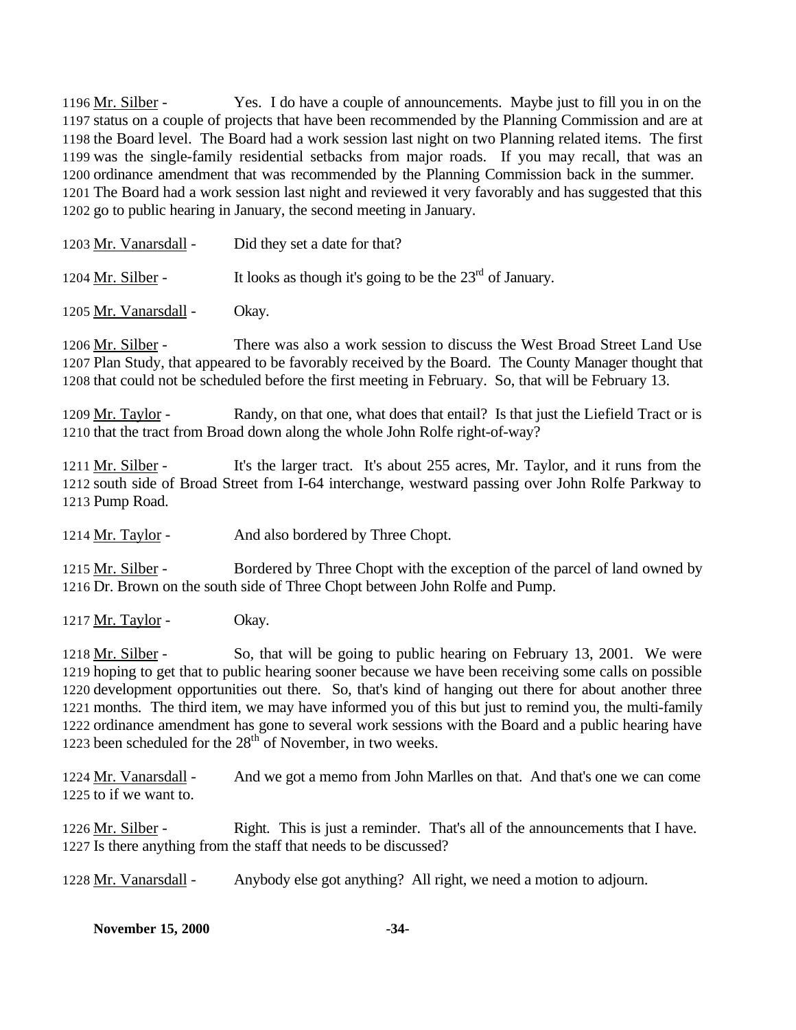Mr. Silber - Yes. I do have a couple of announcements. Maybe just to fill you in on the status on a couple of projects that have been recommended by the Planning Commission and are at the Board level. The Board had a work session last night on two Planning related items. The first was the single-family residential setbacks from major roads. If you may recall, that was an ordinance amendment that was recommended by the Planning Commission back in the summer. The Board had a work session last night and reviewed it very favorably and has suggested that this go to public hearing in January, the second meeting in January.

| 1203 Mr. Vanarsdall - | Did they set a date for that?                              |
|-----------------------|------------------------------------------------------------|
| 1204 Mr. Silber -     | It looks as though it's going to be the $23rd$ of January. |
|                       |                                                            |

Mr. Vanarsdall - Okay.

 Mr. Silber - There was also a work session to discuss the West Broad Street Land Use Plan Study, that appeared to be favorably received by the Board. The County Manager thought that that could not be scheduled before the first meeting in February. So, that will be February 13.

 Mr. Taylor - Randy, on that one, what does that entail? Is that just the Liefield Tract or is that the tract from Broad down along the whole John Rolfe right-of-way?

 Mr. Silber - It's the larger tract. It's about 255 acres, Mr. Taylor, and it runs from the south side of Broad Street from I-64 interchange, westward passing over John Rolfe Parkway to Pump Road.

1214 Mr. Taylor - And also bordered by Three Chopt.

 Mr. Silber - Bordered by Three Chopt with the exception of the parcel of land owned by Dr. Brown on the south side of Three Chopt between John Rolfe and Pump.

1217  $Mr. Taylor$  - Okay.

1218 Mr. Silber - So, that will be going to public hearing on February 13, 2001. We were hoping to get that to public hearing sooner because we have been receiving some calls on possible development opportunities out there. So, that's kind of hanging out there for about another three months. The third item, we may have informed you of this but just to remind you, the multi-family ordinance amendment has gone to several work sessions with the Board and a public hearing have 1223 been scheduled for the  $28<sup>th</sup>$  of November, in two weeks.

1224 Mr. Vanarsdall - And we got a memo from John Marlles on that. And that's one we can come to if we want to.

1226 Mr. Silber - Right. This is just a reminder. That's all of the announcements that I have. Is there anything from the staff that needs to be discussed?

1228 Mr. Vanarsdall - Anybody else got anything? All right, we need a motion to adjourn.

| <b>November 15, 2000</b> | -34- |
|--------------------------|------|
|--------------------------|------|